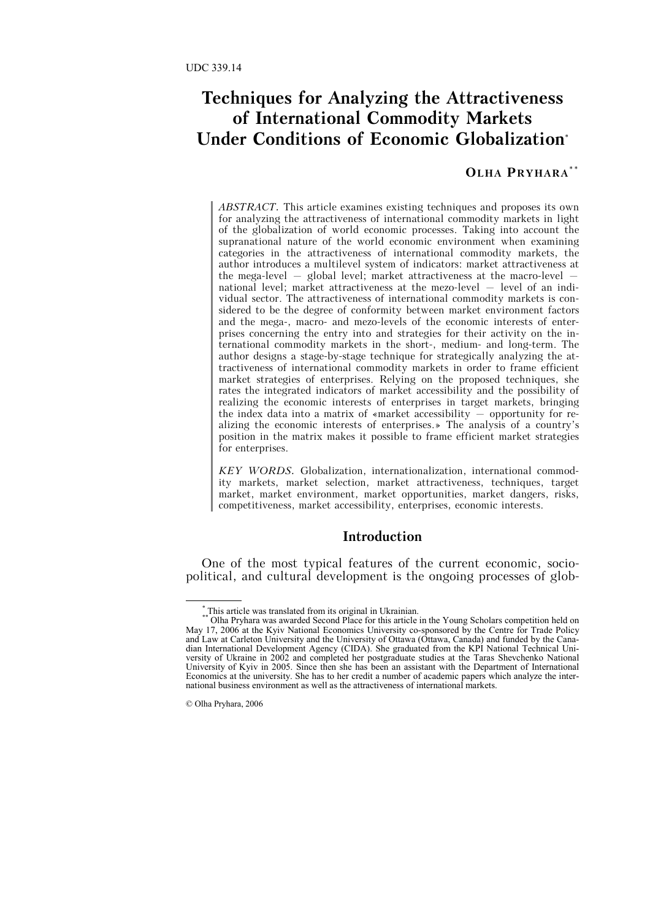### **Techniques for Analyzing the Attractiveness of International Commodity Markets Under Conditions of Economic Globalization**\*

### **OLHA PRYHARA\*\***

*ABSTRACT.* This article examines existing techniques and proposes its own for analyzing the attractiveness of international commodity markets in light of the globalization of world economic processes. Taking into account the supranational nature of the world economic environment when examining categories in the attractiveness of international commodity markets, the author introduces a multilevel system of indicators: market attractiveness at the mega-level  $-$  global level; market attractiveness at the macro-level  $$ national level; market attractiveness at the mezo-level – level of an individual sector. The attractiveness of international commodity markets is considered to be the degree of conformity between market environment factors and the mega-, macro- and mezo-levels of the economic interests of enterprises concerning the entry into and strategies for their activity on the international commodity markets in the short-, medium- and long-term. The author designs a stage-by-stage technique for strategically analyzing the attractiveness of international commodity markets in order to frame efficient market strategies of enterprises. Relying on the proposed techniques, she rates the integrated indicators of market accessibility and the possibility of realizing the economic interests of enterprises in target markets, bringing the index data into a matrix of «market accessibility – opportunity for realizing the economic interests of enterprises.» The analysis of a country's position in the matrix makes it possible to frame efficient market strategies for enterprises.

*KEY WORDS.* Globalization, internationalization, international commodity markets, market selection, market attractiveness, techniques, target market, market environment, market opportunities, market dangers, risks, competitiveness, market accessibility, enterprises, economic interests.

### **Introduction**

One of the most typical features of the current economic, sociopolitical, and cultural development is the ongoing processes of glob-

\*

This article was translated from its original in Ukrainian.

<sup>\*\*</sup> Olha Pryhara was awarded Second Place for this article in the Young Scholars competition held on May 17, 2006 at the Kyiv National Economics University co-sponsored by the Centre for Trade Policy and Law at Carleton University and the University of Ottawa (Ottawa, Canada) and funded by the Canadian International Development Agency (CIDA). She graduated from the KPI National Technical University of Ukraine in 2002 and completed her postgraduate studies at the Taras Shevchenko National University of Kyiv in 2005. Since then she has been an assistant with the Department of International Economics at the university. She has to her credit a number of academic papers which analyze the international business environment as well as the attractiveness of international markets.

<sup>©</sup> Olha Pryhara, 2006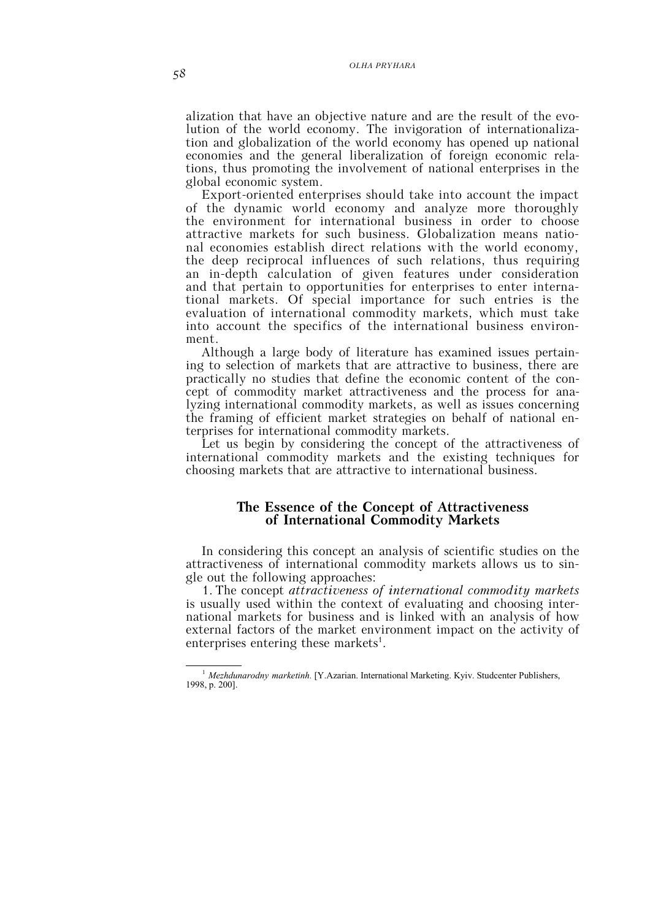alization that have an objective nature and are the result of the evolution of the world economy. The invigoration of internationalization and globalization of the world economy has opened up national economies and the general liberalization of foreign economic relations, thus promoting the involvement of national enterprises in the global economic system.

Export-oriented enterprises should take into account the impact of the dynamic world economy and analyze more thoroughly the environment for international business in order to choose attractive markets for such business. Globalization means national economies establish direct relations with the world economy, the deep reciprocal influences of such relations, thus requiring an in-depth calculation of given features under consideration and that pertain to opportunities for enterprises to enter international markets. Of special importance for such entries is the evaluation of international commodity markets, which must take into account the specifics of the international business environment.

Although a large body of literature has examined issues pertaining to selection of markets that are attractive to business, there are practically no studies that define the economic content of the concept of commodity market attractiveness and the process for analyzing international commodity markets, as well as issues concerning the framing of efficient market strategies on behalf of national enterprises for international commodity markets.

Let us begin by considering the concept of the attractiveness of international commodity markets and the existing techniques for choosing markets that are attractive to international business.

## **The Essence of the Concept of Attractiveness of International Commodity Markets**

In considering this concept an analysis of scientific studies on the attractiveness of international commodity markets allows us to single out the following approaches:

1. The concept *attractiveness of international commodity markets* is usually used within the context of evaluating and choosing international markets for business and is linked with an analysis of how external factors of the market environment impact on the activity of enterprises entering these markets<sup>1</sup>.

<sup>&</sup>lt;sup>1</sup> *Mezhdunarodny marketinh*. [Y.Azarian. International Marketing. Kyiv. Studcenter Publishers, 1998, p. 200].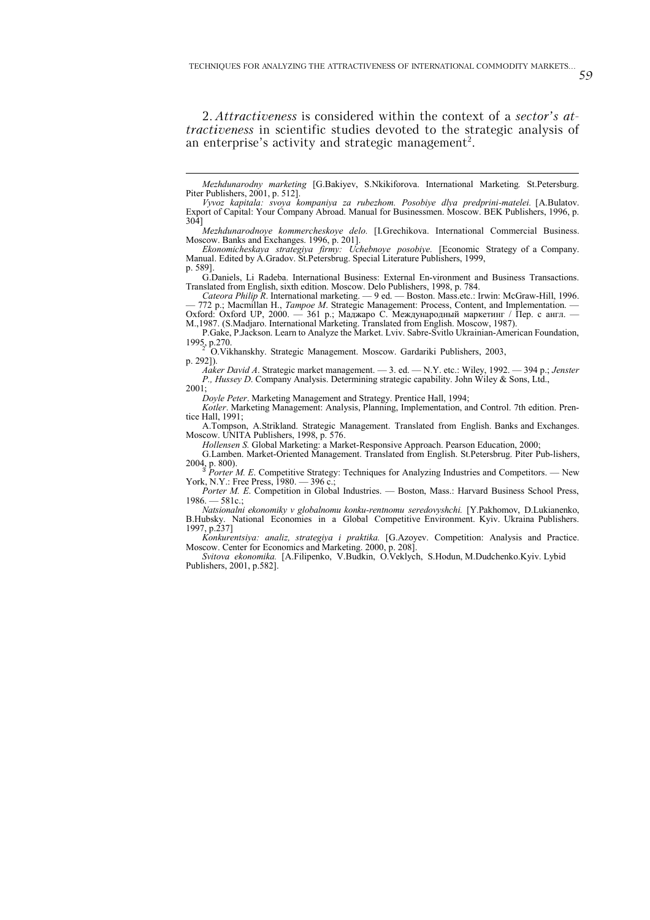2. *Attractiveness* is considered within the context of a *sector's attractiveness* in scientific studies devoted to the strategic analysis of an enterprise's activity and strategic management<sup>2</sup>.

*Mezhdunarodnoye kommercheskoye delo.* [I.Grechikova. International Commercial Business. Moscow. Banks and Exchanges. 1996, p. 201].

*Ekonomicheskaya strategiya firmy: Uchebnoye posobiye.* [Economic Strategy of a Company. Manual. Edited by A.Gradov. St.Petersbrug. Special Literature Publishers, 1999, p. 589].

G.Daniels, Li Radeba. International Business: External En-vironment and Business Transactions. Translated from English, sixth edition. Moscow. Delo Publishers, 1998, p. 784.

*Cateora Philip R*. International marketing. — 9 ed. — Boston. Mass.etc.: Irwin: McGraw-Hill, 1996. — 772 p.; Macmillan H., *Tampoe M*. Strategic Management: Process, Content, and Implementation. — Oxford: Oxford UP, 2000. — 361 p.; Маджаро С. Международный маркетинг / Пер. с англ. —

М.,1987. (S.Madjaro. International Marketing. Translated from English. Moscow, 1987).

P.Gake, P.Jackson. Learn to Analyze the Market. Lviv. Sabre-Svitlo Ukrainian-American Foundation, 1995, p.270.<br>
<sup>2</sup> O.Vikhanskhy. Strategic Management. Moscow. Gardariki Publishers, 2003,

p. 292]).

*Aaker David A*. Strategic market management. — 3. ed. — N.Y. etc.: Wiley, 1992. — 394 p.; *Jenster P., Hussey D*. Сompany Analysis. Determining strategic capability. John Wiley & Sons, Ltd.,  $2001$ 

*Doyle Peter*. Marketing Management and Strategy. Prentice Hall, 1994;

 $\overline{a}$ 

*Kotler*. Marketing Management: Analysis, Planning, Implementation, and Control. 7th edition. Prentice Hall, 1991;

A.Tompson, A.Strikland. Strategic Management. Translated from English. Banks and Exchanges. Moscow. UNITA Publishers, 1998, p. 576.

*Hollensen S.* Global Marketing: a Market-Responsive Approach. Pearson Education, 2000;

G.Lamben. Market-Oriented Management. Translated from English. St.Petersbrug. Piter Pub-lishers, 2004, p. 800).<br><sup>3</sup> *Porter M. E.* Competitive Strategy: Techniques for Analyzing Industries and Competitors. — New

York, N.Y.: Free Press, 1980. — 396 с.;

Porter M. E. Competition in Global Industries. — Boston, Mass.: Harvard Business School Press,  $1986 - 581c$ 

*Natsionalni ekonomiky v globalnomu konku-rentnomu seredovyshchi.* [Y.Pakhomov, D.Lukianenko, B.Hubsky. National Economies in a Global Competitive Environment. Kyiv. Ukraina Publishers. 1997, p.237]

*Konkurentsiya: analiz, strategiya i praktika.* [G.Azoyev. Competition: Analysis and Practice. Moscow. Center for Economics and Marketing. 2000, p. 208].

*Svitova ekonomika.* [A.Filipenko, V.Budkin, O.Veklych, S.Hodun, M.Dudchenko.Kyiv. Lybid Publishers, 2001, p.582].

59

*Mezhdunarodny marketing* [G.Bakiyev, S.Nkikiforova. International Marketing*.* St.Petersburg. Piter Publishers, 2001, p. 512].

*Vyvoz kapitala: svoya kompaniya za rubezhom. Posobiye dlya predprini-matelei.* [A.Bulatov. Export of Capital: Your Company Abroad. Manual for Businessmen. Moscow. BEK Publishers, 1996, p. 304]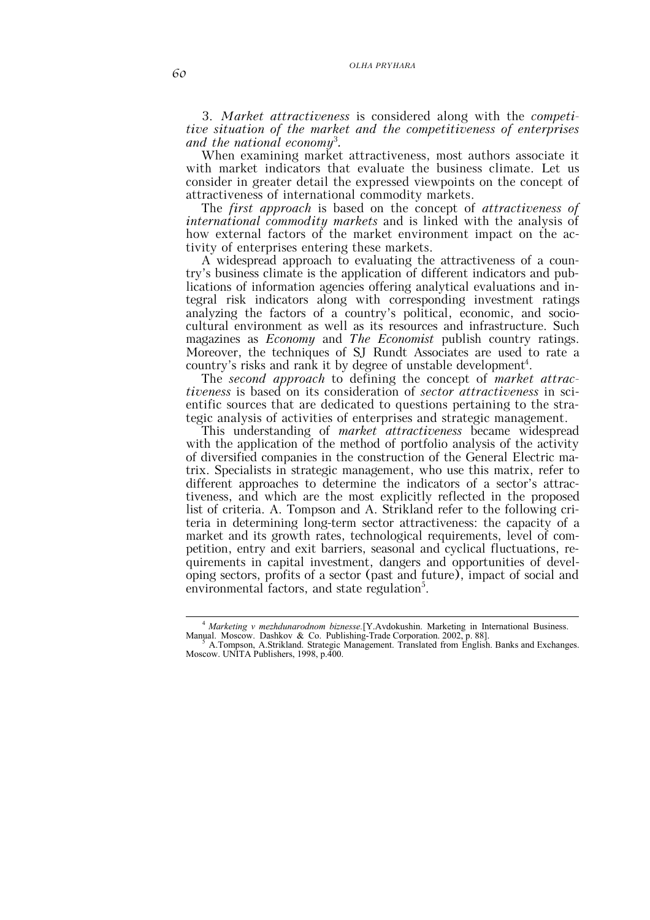#### *OLHA PRYHARA*

3. *Market attractiveness* is considered along with the *competitive situation of the market and the competitiveness of enterprises and the national economy*<sup>3</sup> *.*

When examining market attractiveness, most authors associate it with market indicators that evaluate the business climate. Let us consider in greater detail the expressed viewpoints on the concept of attractiveness of international commodity markets.

The *first approach* is based on the concept of *attractiveness of international commodity markets* and is linked with the analysis of how external factors of the market environment impact on the activity of enterprises entering these markets.

A widespread approach to evaluating the attractiveness of a country's business climate is the application of different indicators and publications of information agencies offering analytical evaluations and integral risk indicators along with corresponding investment ratings analyzing the factors of a country's political, economic, and sociocultural environment as well as its resources and infrastructure. Such magazines as *Economy* and *The Economist* publish country ratings. Moreover, the techniques of SJ Rundt Associates are used to rate a country's risks and rank it by degree of unstable development<sup>4</sup>.

The *second approach* to defining the concept of *market attractiveness* is based on its consideration of *sector attractiveness* in scientific sources that are dedicated to questions pertaining to the strategic analysis of activities of enterprises and strategic management.

This understanding of *market attractiveness* became widespread with the application of the method of portfolio analysis of the activity of diversified companies in the construction of the General Electric matrix. Specialists in strategic management, who use this matrix, refer to different approaches to determine the indicators of a sector's attractiveness, and which are the most explicitly reflected in the proposed list of criteria. A. Tompson and A. Strikland refer to the following criteria in determining long-term sector attractiveness: the capacity of a market and its growth rates, technological requirements, level of competition, entry and exit barriers, seasonal and cyclical fluctuations, requirements in capital investment, dangers and opportunities of developing sectors, profits of a sector (past and future), impact of social and environmental factors, and state regulation<sup>5</sup>.

 <sup>4</sup> *Marketing v mezhdunarodnom biznesse.*[Y.Avdokushin. Marketing in International Business. Manual. Moscow. Dashkov & Co. Publishing-Trade Corporation. 2002, p. 88].<br><sup>5</sup> A.Tompson, A.Strikland. Strategic Management. Translated from English. Banks and Exchanges.

Moscow. UNITA Publishers, 1998, p.400.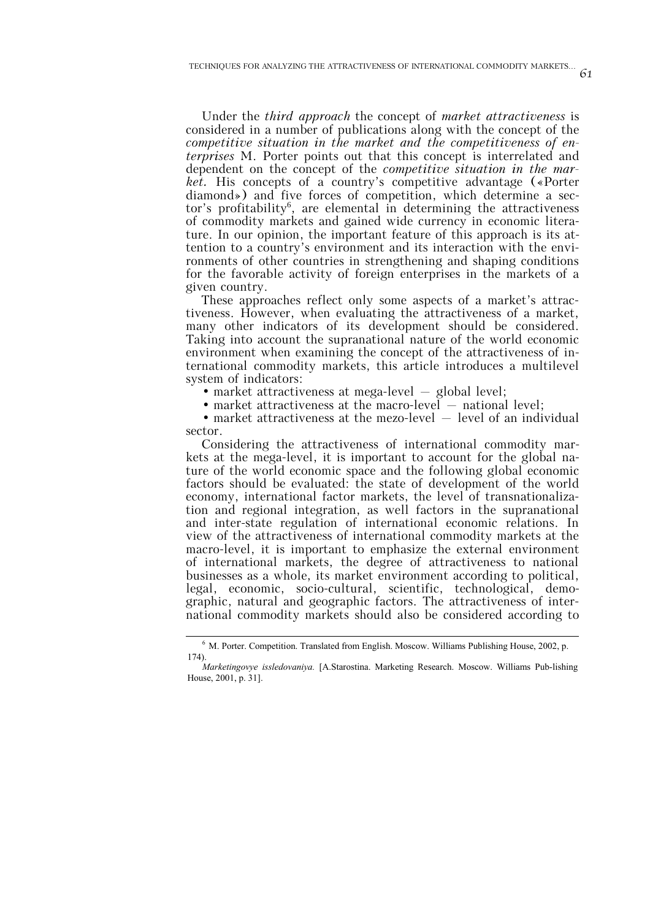Under the *third approach* the concept of *market attractiveness* is considered in a number of publications along with the concept of the *competitive situation in the market and the competitiveness of enterprises* M. Porter points out that this concept is interrelated and dependent on the concept of the *competitive situation in the market.* His concepts of a country's competitive advantage («Porter diamond») and five forces of competition, which determine a sector's profitability<sup>6</sup>, are elemental in determining the attractiveness of commodity markets and gained wide currency in economic literature. In our opinion, the important feature of this approach is its attention to a country's environment and its interaction with the environments of other countries in strengthening and shaping conditions for the favorable activity of foreign enterprises in the markets of a given country.

These approaches reflect only some aspects of a market's attractiveness. However, when evaluating the attractiveness of a market, many other indicators of its development should be considered. Taking into account the supranational nature of the world economic environment when examining the concept of the attractiveness of international commodity markets, this article introduces a multilevel system of indicators:

• market attractiveness at mega-level – global level;

• market attractiveness at the macro-level  $-$  national level;

• market attractiveness at the mezo-level  $-$  level of an individual sector.

Considering the attractiveness of international commodity markets at the mega-level, it is important to account for the global nature of the world economic space and the following global economic factors should be evaluated: the state of development of the world economy, international factor markets, the level of transnationalization and regional integration, as well factors in the supranational and inter-state regulation of international economic relations. In view of the attractiveness of international commodity markets at the macro-level, it is important to emphasize the external environment of international markets, the degree of attractiveness to national businesses as a whole, its market environment according to political, legal, economic, socio-cultural, scientific, technological, demographic, natural and geographic factors. The attractiveness of international commodity markets should also be considered according to

 $\frac{1}{6}$ <sup>6</sup> M. Porter. Competition. Translated from English. Moscow. Williams Publishing House, 2002, p. 174).

*Marketingovye issledovaniya.* [A.Starostina. Marketing Research. Moscow. Williams Pub-lishing House, 2001, p. 31].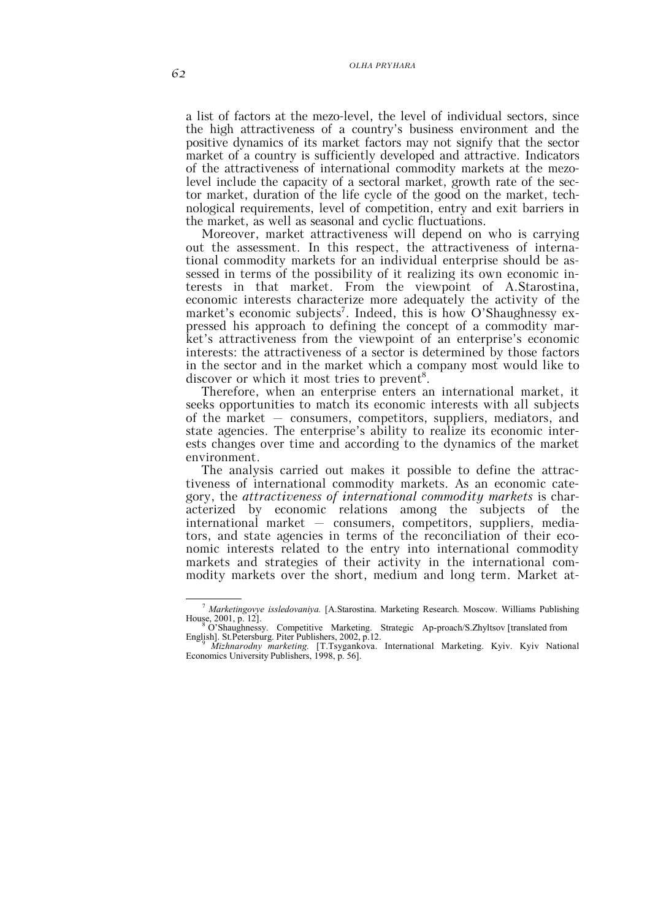### *OLHA PRYHARA*

a list of factors at the mezo-level, the level of individual sectors, since the high attractiveness of a country's business environment and the positive dynamics of its market factors may not signify that the sector market of a country is sufficiently developed and attractive. Indicators of the attractiveness of international commodity markets at the mezolevel include the capacity of a sectoral market, growth rate of the sector market, duration of the life cycle of the good on the market, technological requirements, level of competition, entry and exit barriers in the market, as well as seasonal and cyclic fluctuations.

Moreover, market attractiveness will depend on who is carrying out the assessment. In this respect, the attractiveness of international commodity markets for an individual enterprise should be assessed in terms of the possibility of it realizing its own economic interests in that market. From the viewpoint of A.Starostina, economic interests characterize more adequately the activity of the market's economic subjects<sup>7</sup>. Indeed, this is how O'Shaughnessy expressed his approach to defining the concept of a commodity market's attractiveness from the viewpoint of an enterprise's economic interests: the attractiveness of a sector is determined by those factors in the sector and in the market which a company most would like to discover or which it most tries to prevent<sup>8</sup>.

Therefore, when an enterprise enters an international market, it seeks opportunities to match its economic interests with all subjects of the market – consumers, competitors, suppliers, mediators, and state agencies. The enterprise's ability to realize its economic interests changes over time and according to the dynamics of the market environment.

The analysis carried out makes it possible to define the attractiveness of international commodity markets. As an economic category, the *attractiveness of international commodity markets* is characterized by economic relations among the subjects of the international market – consumers, competitors, suppliers, mediators, and state agencies in terms of the reconciliation of their economic interests related to the entry into international commodity markets and strategies of their activity in the international commodity markets over the short, medium and long term. Market at-

 <sup>7</sup> *Marketingovye issledovaniya.* [A.Starostina. Marketing Research. Moscow. Williams Publishing

House, 2001, p. 12].<br>
<sup>8</sup> O'Shaughnessy. Competitive Marketing. Strategic Ap-proach/S.Zhyltsov [translated from English]. St.Petersburg. Piter Publishers, 2002, p.12. English]. St.Petersburg. Piter Publishers, 2002, p.12. <sup>9</sup> *Mizhnarodny marketing.* [T.Tsygankova. International Marketing. Kyiv. Kyiv National

Economics University Publishers, 1998, p. 56].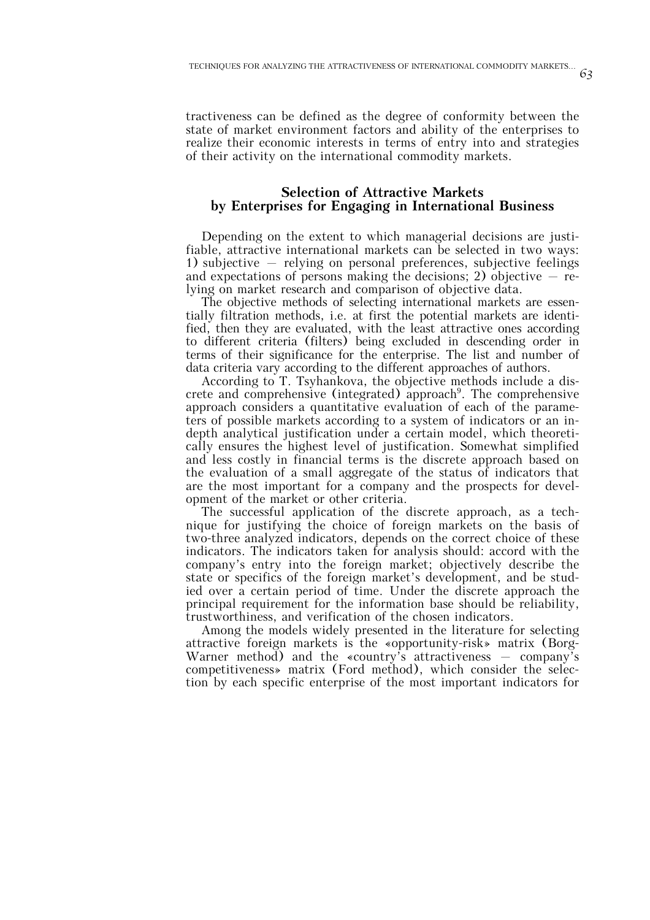tractiveness can be defined as the degree of conformity between the state of market environment factors and ability of the enterprises to realize their economic interests in terms of entry into and strategies of their activity on the international commodity markets.

### **Selection of Attractive Markets by Enterprises for Engaging in International Business**

Depending on the extent to which managerial decisions are justifiable, attractive international markets can be selected in two ways: 1) subjective – relying on personal preferences, subjective feelings and expectations of persons making the decisions; 2) objective  $-$  relying on market research and comparison of objective data.

The objective methods of selecting international markets are essentially filtration methods, i.e. at first the potential markets are identified, then they are evaluated, with the least attractive ones according to different criteria (filters) being excluded in descending order in terms of their significance for the enterprise. The list and number of data criteria vary according to the different approaches of authors.

According to T. Tsyhankova, the objective methods include a discrete and comprehensive (integrated) approach<sup>9</sup>. The comprehensive approach considers a quantitative evaluation of each of the parameters of possible markets according to a system of indicators or an indepth analytical justification under a certain model, which theoretically ensures the highest level of justification. Somewhat simplified and less costly in financial terms is the discrete approach based on the evaluation of a small aggregate of the status of indicators that are the most important for a company and the prospects for development of the market or other criteria.

The successful application of the discrete approach, as a technique for justifying the choice of foreign markets on the basis of two-three analyzed indicators, depends on the correct choice of these indicators. The indicators taken for analysis should: accord with the company's entry into the foreign market; objectively describe the state or specifics of the foreign market's development, and be studied over a certain period of time. Under the discrete approach the principal requirement for the information base should be reliability, trustworthiness, and verification of the chosen indicators.

Among the models widely presented in the literature for selecting attractive foreign markets is the «opportunity-risk» matrix (Borg-Warner method) and the «country's attractiveness  $-$  company's competitiveness» matrix (Ford method), which consider the selection by each specific enterprise of the most important indicators for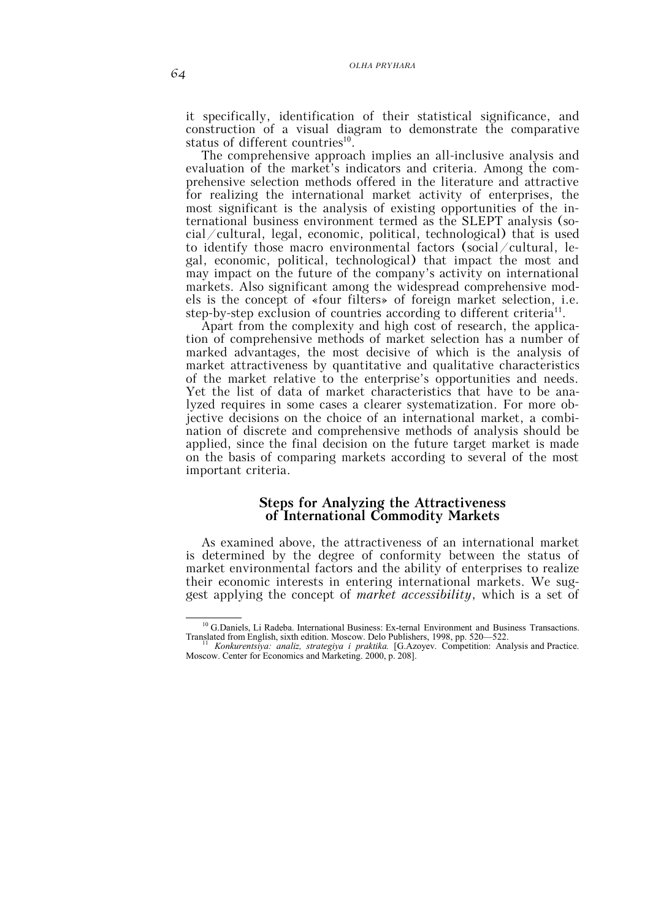it specifically, identification of their statistical significance, and construction of a visual diagram to demonstrate the comparative status of different countries $^{10}$ .

The comprehensive approach implies an all-inclusive analysis and evaluation of the market's indicators and criteria. Among the comprehensive selection methods offered in the literature and attractive for realizing the international market activity of enterprises, the most significant is the analysis of existing opportunities of the international business environment termed as the SLEPT analysis (social/cultural, legal, economic, political, technological) that is used to identify those macro environmental factors (social/cultural, legal, economic, political, technological) that impact the most and may impact on the future of the company's activity on international markets. Also significant among the widespread comprehensive models is the concept of «four filters» of foreign market selection, i.e. step-by-step exclusion of countries according to different criteria<sup>11</sup>.

Apart from the complexity and high cost of research, the application of comprehensive methods of market selection has a number of marked advantages, the most decisive of which is the analysis of market attractiveness by quantitative and qualitative characteristics of the market relative to the enterprise's opportunities and needs. Yet the list of data of market characteristics that have to be analyzed requires in some cases a clearer systematization. For more objective decisions on the choice of an international market, a combination of discrete and comprehensive methods of analysis should be applied, since the final decision on the future target market is made on the basis of comparing markets according to several of the most important criteria.

### **Steps for Analyzing the Attractiveness of International Commodity Markets**

As examined above, the attractiveness of an international market is determined by the degree of conformity between the status of market environmental factors and the ability of enterprises to realize their economic interests in entering international markets. We suggest applying the concept of *market accessibility*, which is a set of

 $10$  G.Daniels, Li Radeba. International Business: Ex-ternal Environment and Business Transactions.<br>Translated from English, sixth edition. Moscow. Delo Publishers, 1998, pp. 520—522. Translated from English, sixth edition. Moscow. Delo Publishers, 1998, pp. 520—522.<br><sup>11</sup> *Konkurentsiya: analiz, strategiya i praktika*. [G.Azoyev. Competition: Analysis and Practice.

Moscow. Center for Economics and Marketing. 2000, p. 208].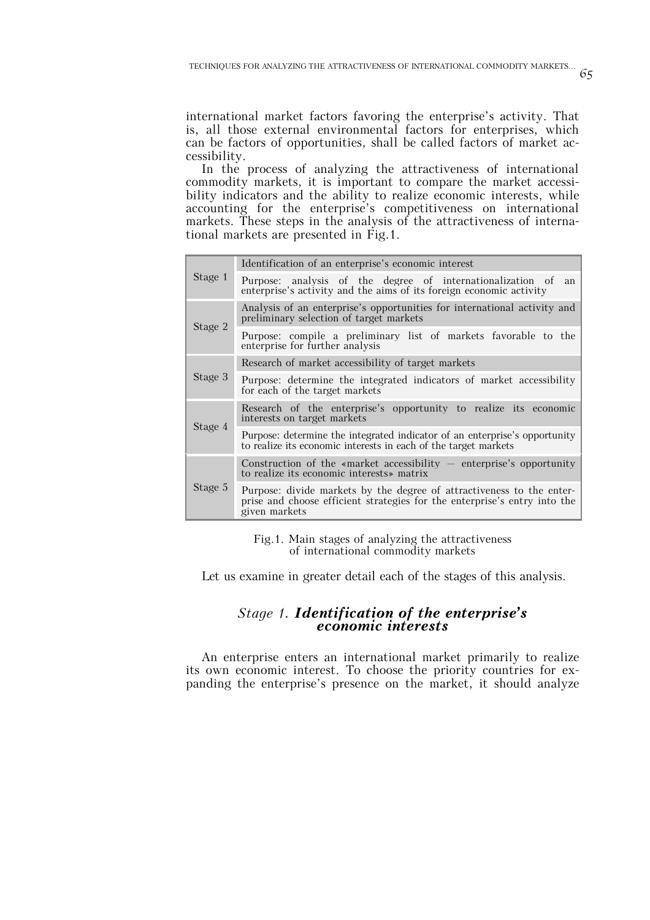international market factors favoring the enterprise's activity. That is, all those external environmental factors for enterprises, which can be factors of opportunities, shall be called factors of market accessibility.

In the process of analyzing the attractiveness of international commodity markets, it is important to compare the market accessibility indicators and the ability to realize economic interests, while accounting for the enterprise's competitiveness on international markets. These steps in the analysis of the attractiveness of international markets are presented in Fig.1.

|         | Identification of an enterprise's economic interest                                                                                                                 |
|---------|---------------------------------------------------------------------------------------------------------------------------------------------------------------------|
| Stage 1 | Purpose: analysis of the degree of internationalization of<br>an.<br>enterprise's activity and the aims of its foreign economic activity                            |
|         | Analysis of an enterprise's opportunities for international activity and<br>preliminary selection of target markets                                                 |
| Stage 2 | Purpose: compile a preliminary list of markets favorable to the<br>enterprise for further analysis                                                                  |
|         | Research of market accessibility of target markets                                                                                                                  |
| Stage 3 | Purpose: determine the integrated indicators of market accessibility<br>for each of the target markets                                                              |
|         | Research of the enterprise's opportunity to realize its economic<br>interests on target markets                                                                     |
| Stage 4 | Purpose: determine the integrated indicator of an enterprise's opportunity<br>to realize its economic interests in each of the target markets                       |
| Stage 5 | Construction of the «market accessibility $-$ enterprise's opportunity<br>to realize its economic interests matrix                                                  |
|         | Purpose: divide markets by the degree of attractiveness to the enter-<br>prise and choose efficient strategies for the enterprise's entry into the<br>given markets |

Fig.1. Main stages of analyzing the attractiveness of international commodity markets

Let us examine in greater detail each of the stages of this analysis.

## *Stage 1. Identification of the enterprise's economic interests*

An enterprise enters an international market primarily to realize its own economic interest. To choose the priority countries for expanding the enterprise's presence on the market, it should analyze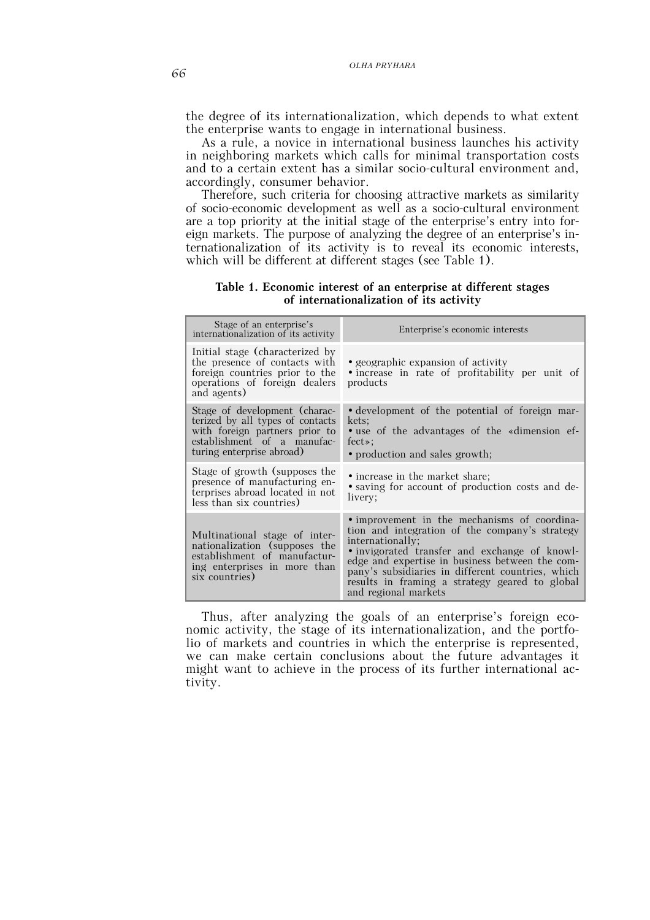the degree of its internationalization, which depends to what extent the enterprise wants to engage in international business.

As a rule, a novice in international business launches his activity in neighboring markets which calls for minimal transportation costs and to a certain extent has a similar socio-cultural environment and, accordingly, consumer behavior.

Therefore, such criteria for choosing attractive markets as similarity of socio-economic development as well as a socio-cultural environment are a top priority at the initial stage of the enterprise's entry into foreign markets. The purpose of analyzing the degree of an enterprise's internationalization of its activity is to reveal its economic interests, which will be different at different stages (see Table 1).

**Table 1. Economic interest of an enterprise at different stages of internationalization of its activity**

| Stage of an enterprise's<br>internationalization of its activity                                                                                                | Enterprise's economic interests                                                                                                                                                                                                                                                                                                                       |
|-----------------------------------------------------------------------------------------------------------------------------------------------------------------|-------------------------------------------------------------------------------------------------------------------------------------------------------------------------------------------------------------------------------------------------------------------------------------------------------------------------------------------------------|
| Initial stage (characterized by<br>the presence of contacts with<br>foreign countries prior to the<br>operations of foreign dealers<br>and agents)              | • geographic expansion of activity<br>• increase in rate of profitability per unit of<br>products                                                                                                                                                                                                                                                     |
| Stage of development (charac-<br>terized by all types of contacts<br>with foreign partners prior to<br>establishment of a manufac-<br>turing enterprise abroad) | • development of the potential of foreign mar-<br>kets;<br>• use of the advantages of the «dimension ef-<br>fect<br>• production and sales growth;                                                                                                                                                                                                    |
| Stage of growth (supposes the<br>presence of manufacturing en-<br>terprises abroad located in not<br>less than six countries)                                   | • increase in the market share;<br>• saving for account of production costs and de-<br>livery;                                                                                                                                                                                                                                                        |
| Multinational stage of inter-<br>nationalization (supposes the<br>establishment of manufactur-<br>ing enterprises in more than<br>six countries)                | • improvement in the mechanisms of coordina-<br>tion and integration of the company's strategy<br>internationally;<br>• invigorated transfer and exchange of knowl-<br>edge and expertise in business between the com-<br>pany's subsidiaries in different countries, which<br>results in framing a strategy geared to global<br>and regional markets |

Thus, after analyzing the goals of an enterprise's foreign economic activity, the stage of its internationalization, and the portfolio of markets and countries in which the enterprise is represented, we can make certain conclusions about the future advantages it might want to achieve in the process of its further international activity.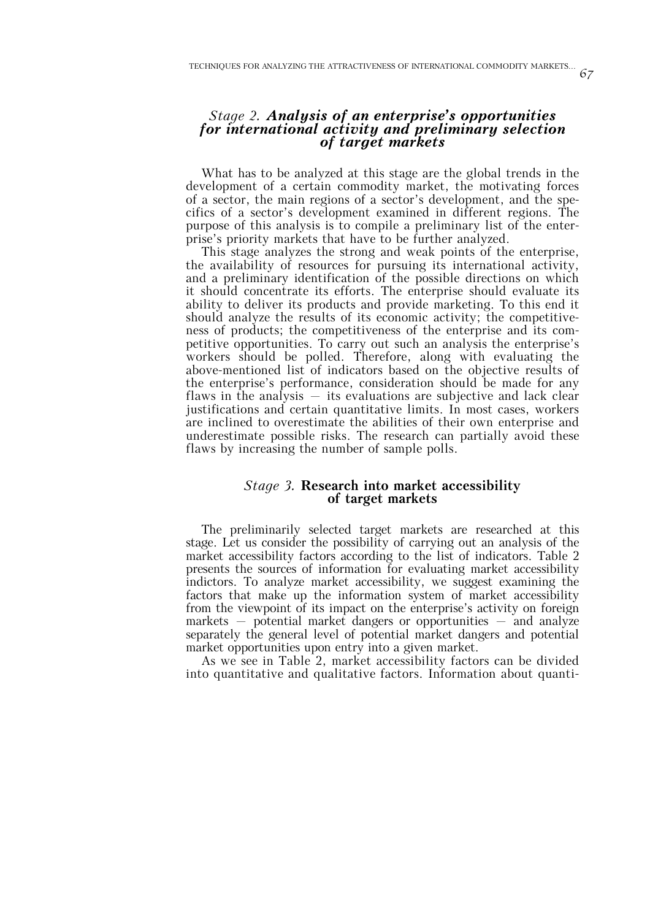# *Stage 2. Analysis of an enterprise's opportunities for international activity and preliminary selection of target markets*

What has to be analyzed at this stage are the global trends in the development of a certain commodity market, the motivating forces of a sector, the main regions of a sector's development, and the specifics of a sector's development examined in different regions. The purpose of this analysis is to compile a preliminary list of the enterprise's priority markets that have to be further analyzed.

This stage analyzes the strong and weak points of the enterprise, the availability of resources for pursuing its international activity, and a preliminary identification of the possible directions on which it should concentrate its efforts. The enterprise should evaluate its ability to deliver its products and provide marketing. To this end it should analyze the results of its economic activity; the competitiveness of products; the competitiveness of the enterprise and its competitive opportunities. To carry out such an analysis the enterprise's workers should be polled. Therefore, along with evaluating the above-mentioned list of indicators based on the objective results of the enterprise's performance, consideration should be made for any flaws in the analysis  $-$  its evaluations are subjective and lack clear justifications and certain quantitative limits. In most cases, workers are inclined to overestimate the abilities of their own enterprise and underestimate possible risks. The research can partially avoid these flaws by increasing the number of sample polls.

## *Stage 3.* **Research into market accessibility of target markets**

The preliminarily selected target markets are researched at this stage. Let us consider the possibility of carrying out an analysis of the market accessibility factors according to the list of indicators. Table 2 presents the sources of information for evaluating market accessibility indictors. To analyze market accessibility, we suggest examining the factors that make up the information system of market accessibility from the viewpoint of its impact on the enterprise's activity on foreign markets – potential market dangers or opportunities – and analyze separately the general level of potential market dangers and potential market opportunities upon entry into a given market.

As we see in Table 2, market accessibility factors can be divided into quantitative and qualitative factors. Information about quanti-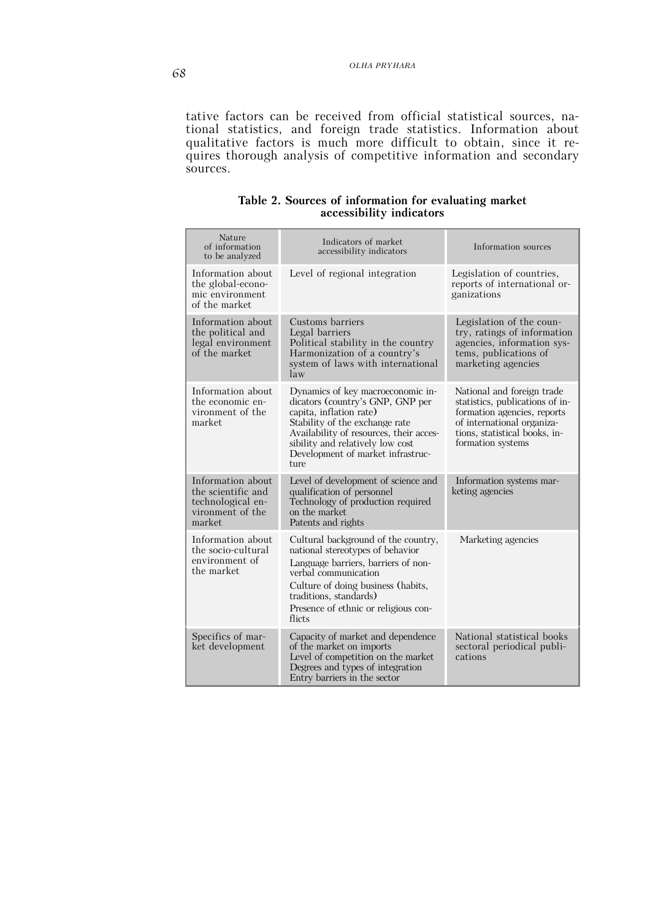tative factors can be received from official statistical sources, national statistics, and foreign trade statistics. Information about qualitative factors is much more difficult to obtain, since it requires thorough analysis of competitive information and secondary sources.

| Nature<br>of information<br>to be analyzed                                                  | Indicators of market<br>accessibility indicators                                                                                                                                                                                                               | Information sources                                                                                                                                                              |
|---------------------------------------------------------------------------------------------|----------------------------------------------------------------------------------------------------------------------------------------------------------------------------------------------------------------------------------------------------------------|----------------------------------------------------------------------------------------------------------------------------------------------------------------------------------|
| Information about<br>the global-econo-<br>mic environment<br>of the market                  | Level of regional integration                                                                                                                                                                                                                                  | Legislation of countries,<br>reports of international or-<br>ganizations                                                                                                         |
| Information about<br>the political and<br>legal environment<br>of the market                | Customs barriers<br>Legal barriers<br>Political stability in the country<br>Harmonization of a country's<br>system of laws with international<br>law                                                                                                           | Legislation of the coun-<br>try, ratings of information<br>agencies, information sys-<br>tems, publications of<br>marketing agencies                                             |
| Information about<br>the economic en-<br>vironment of the<br>market                         | Dynamics of key macroeconomic in-<br>dicators (country's GNP, GNP per<br>capita, inflation rate)<br>Stability of the exchange rate<br>Availability of resources, their acces-<br>sibility and relatively low cost<br>Development of market infrastruc-<br>ture | National and foreign trade<br>statistics, publications of in-<br>formation agencies, reports<br>of international organiza-<br>tions, statistical books, in-<br>formation systems |
| Information about<br>the scientific and<br>technological en-<br>vironment of the<br>market. | Level of development of science and<br>qualification of personnel<br>Technology of production required<br>on the market<br>Patents and rights                                                                                                                  | Information systems mar-<br>keting agencies                                                                                                                                      |
| Information about<br>the socio-cultural<br>environment of<br>the market                     | Cultural background of the country,<br>national stereotypes of behavior<br>Language barriers, barriers of non-<br>verbal communication<br>Culture of doing business (habits,<br>traditions, standards)<br>Presence of ethnic or religious con-<br>flicts       | Marketing agencies                                                                                                                                                               |
| Specifics of mar-<br>ket development                                                        | Capacity of market and dependence<br>of the market on imports<br>Level of competition on the market<br>Degrees and types of integration<br>Entry barriers in the sector                                                                                        | National statistical books<br>sectoral periodical publi-<br>cations                                                                                                              |

### **Table 2. Sources of information for evaluating market accessibility indicators**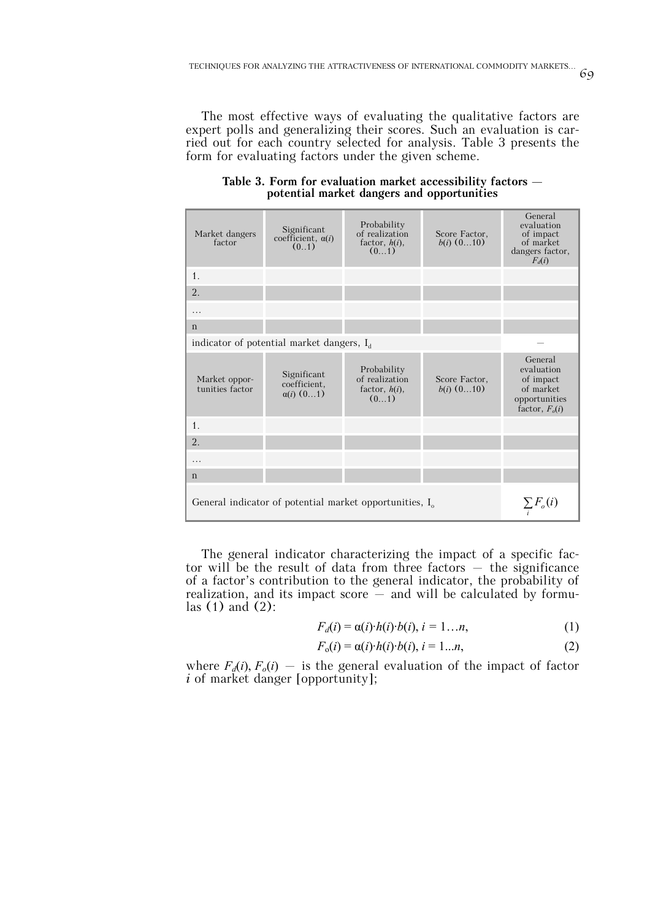The most effective ways of evaluating the qualitative factors are expert polls and generalizing their scores. Such an evaluation is carried out for each country selected for analysis. Table 3 presents the form for evaluating factors under the given scheme.

| Market dangers<br>factor                                                                  | Significant<br>coefficient, $\alpha(i)$<br>(01)       | Probability<br>of realization<br>factor, $h(i)$ ,<br>(01) | Score Factor,<br>$b(i)$ $(010)$ | General<br>evaluation<br>of impact<br>of market<br>dangers factor,<br>$F_d(i)$       |  |
|-------------------------------------------------------------------------------------------|-------------------------------------------------------|-----------------------------------------------------------|---------------------------------|--------------------------------------------------------------------------------------|--|
| 1.                                                                                        |                                                       |                                                           |                                 |                                                                                      |  |
| 2.                                                                                        |                                                       |                                                           |                                 |                                                                                      |  |
| .                                                                                         |                                                       |                                                           |                                 |                                                                                      |  |
| $\mathbf n$                                                                               |                                                       |                                                           |                                 |                                                                                      |  |
|                                                                                           | indicator of potential market dangers, I <sub>d</sub> |                                                           |                                 |                                                                                      |  |
| Market oppor-<br>tunities factor                                                          | Significant<br>coefficient.<br>$\alpha(i)$ $(01)$     | Probability<br>of realization<br>factor, $h(i)$ ,<br>(01) | Score Factor,<br>$b(i)$ $(010)$ | General<br>evaluation<br>of impact<br>of market<br>opportunities<br>factor, $F_o(i)$ |  |
| 1.                                                                                        |                                                       |                                                           |                                 |                                                                                      |  |
| 2.                                                                                        |                                                       |                                                           |                                 |                                                                                      |  |
| .                                                                                         |                                                       |                                                           |                                 |                                                                                      |  |
| $\mathbf n$                                                                               |                                                       |                                                           |                                 |                                                                                      |  |
| General indicator of potential market opportunities, $I_{\alpha}$<br>$\sum F_{\alpha}(i)$ |                                                       |                                                           |                                 |                                                                                      |  |

**Table 3. Form for evaluation market accessibility factors – potential market dangers and opportunities**

The general indicator characterizing the impact of a specific factor will be the result of data from three factors  $-$  the significance of a factor's contribution to the general indicator, the probability of realization, and its impact score  $-$  and will be calculated by formulas  $(1)$  and  $(2)$ :

$$
F_d(i) = \alpha(i) \cdot h(i) \cdot b(i), \quad i = 1...n,
$$
\n<sup>(1)</sup>

$$
F_o(i) = \alpha(i) \cdot h(i) \cdot b(i), \, i = 1...n,\tag{2}
$$

where  $F_d(i)$ ,  $F_o(i)$  – is the general evaluation of the impact of factor *i* of market danger [opportunity];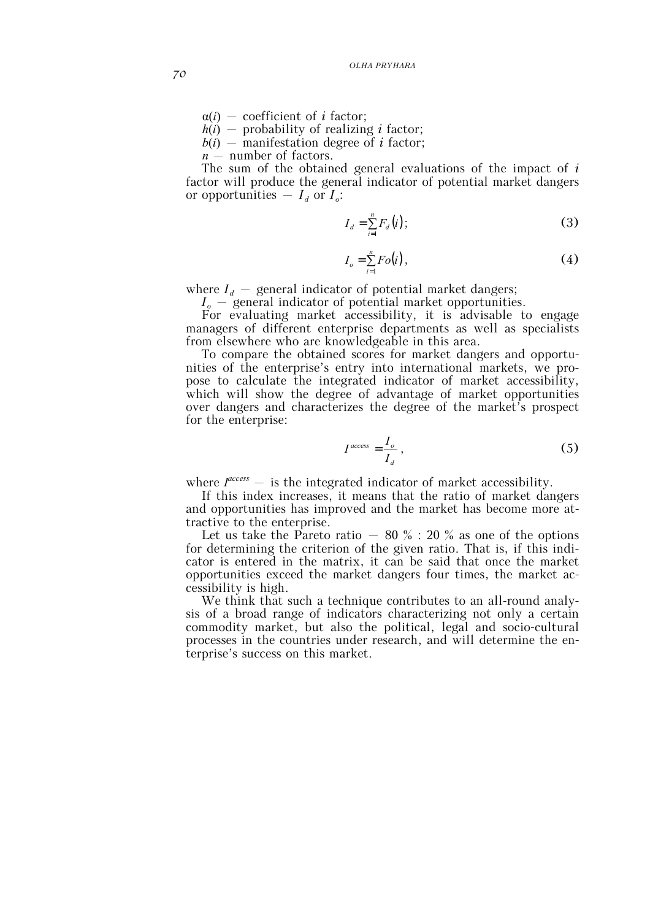$\alpha(i)$  – coefficient of *i* factor;

 $h(i)$  – probability of realizing *i* factor;

 $b(i)$  – manifestation degree of *i* factor;

*n* – number of factors.

The sum of the obtained general evaluations of the impact of *і* factor will produce the general indicator of potential market dangers or opportunities  $-I_d$  or  $I_o$ :

$$
I_d = \sum_{i=1}^n F_d(i);
$$
 (3)

$$
I_o = \sum_{i=1}^{n} Fo(i), \qquad (4)
$$

where  $I_d$  – general indicator of potential market dangers;

*Іo* – general indicator of potential market opportunities.

For evaluating market accessibility, it is advisable to engage managers of different enterprise departments as well as specialists from elsewhere who are knowledgeable in this area.

To compare the obtained scores for market dangers and opportunities of the enterprise's entry into international markets, we propose to calculate the integrated indicator of market accessibility, which will show the degree of advantage of market opportunities over dangers and characterizes the degree of the market's prospect for the enterprise:

$$
I^{access} = \frac{I_o}{I_d},\tag{5}
$$

where  $I^{access}$  – is the integrated indicator of market accessibility.

If this index increases, it means that the ratio of market dangers and opportunities has improved and the market has become more attractive to the enterprise.

Let us take the Pareto ratio – 80  $\%$  : 20  $\%$  as one of the options for determining the criterion of the given ratio. That is, if this indicator is entered in the matrix, it can be said that once the market opportunities exceed the market dangers four times, the market accessibility is high.

We think that such a technique contributes to an all-round analysis of a broad range of indicators characterizing not only a certain commodity market, but also the political, legal and socio-cultural processes in the countries under research, and will determine the enterprise's success on this market.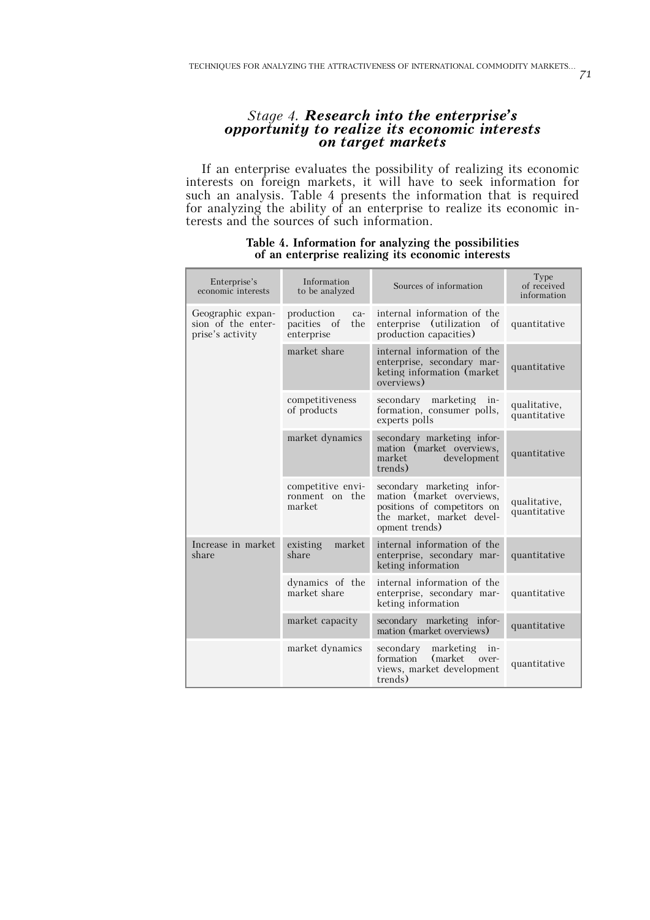# *Stage 4. Research into the enterprise's opportunity to realize its economic interests on target markets*

If an enterprise evaluates the possibility of realizing its economic interests on foreign markets, it will have to seek information for such an analysis. Table 4 presents the information that is required for analyzing the ability of an enterprise to realize its economic interests and the sources of such information.

| Enterprise's<br>economic interests                          | Information<br>to be analyzed                           | Sources of information                                                                                                                | Type<br>of received<br>information |
|-------------------------------------------------------------|---------------------------------------------------------|---------------------------------------------------------------------------------------------------------------------------------------|------------------------------------|
| Geographic expan-<br>sion of the enter-<br>prise's activity | production<br>$ca-$<br>pacities of<br>the<br>enterprise | internal information of the<br>enterprise (utilization of<br>production capacities)                                                   | quantitative                       |
|                                                             | market share                                            | internal information of the<br>enterprise, secondary mar-<br>keting information (market)<br>overviews)                                | quantitative                       |
|                                                             | competitiveness<br>of products                          | secondary marketing<br>in-<br>formation, consumer polls,<br>experts polls                                                             | qualitative,<br>quantitative       |
|                                                             | market dynamics                                         | secondary marketing infor-<br>mation (market overviews,<br>development<br>market<br>trends)                                           | quantitative                       |
|                                                             | competitive envi-<br>ronment on the<br>market           | secondary marketing infor-<br>mation (market overviews,<br>positions of competitors on<br>the market, market devel-<br>opment trends) | qualitative,<br>quantitative       |
| Increase in market<br>share                                 | market<br>existing<br>share                             | internal information of the<br>enterprise, secondary mar-<br>keting information                                                       | quantitative                       |
|                                                             | dynamics of the<br>market share                         | internal information of the<br>enterprise, secondary mar-<br>keting information                                                       | quantitative                       |
|                                                             | market capacity                                         | secondary marketing infor-<br>mation (market overviews)                                                                               | quantitative                       |
|                                                             | market dynamics                                         | secondary<br>marketing<br>in-<br>(market over-<br>formation<br>views, market development<br>trends)                                   | quantitative                       |

### **Table 4. Information for analyzing the possibilities of an enterprise realizing its economic interests**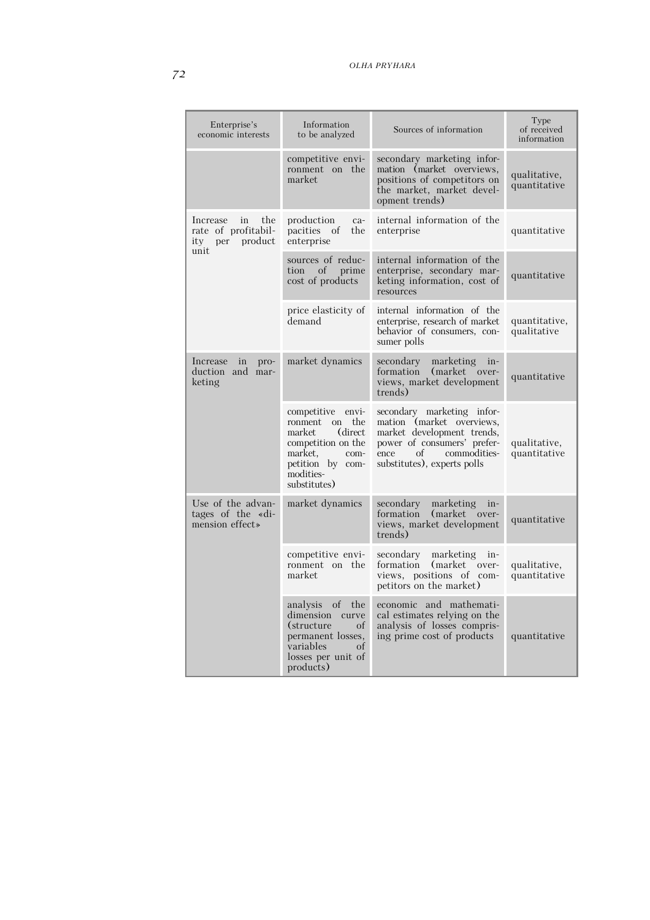| Enterprise's<br>economic interests                                            | Information<br>to be analyzed                                                                                                                          | Sources of information                                                                                                                                                            | Type<br>of received<br>information |
|-------------------------------------------------------------------------------|--------------------------------------------------------------------------------------------------------------------------------------------------------|-----------------------------------------------------------------------------------------------------------------------------------------------------------------------------------|------------------------------------|
|                                                                               | competitive envi-<br>ronment on the<br>market                                                                                                          | secondary marketing infor-<br>mation (market overviews,<br>positions of competitors on<br>the market, market devel-<br>opment trends)                                             | qualitative,<br>quantitative       |
| the<br>Increase<br>in<br>rate of profitabil-<br>product<br>ity<br>per<br>unit | production<br>ca-<br>pacities of<br>the<br>enterprise                                                                                                  | internal information of the<br>enterprise                                                                                                                                         | quantitative                       |
|                                                                               | sources of reduc-<br>tion of prime<br>cost of products                                                                                                 | internal information of the<br>enterprise, secondary mar-<br>keting information, cost of<br>resources                                                                             | quantitative                       |
|                                                                               | price elasticity of<br>demand                                                                                                                          | internal information of the<br>enterprise, research of market<br>behavior of consumers, con-<br>sumer polls                                                                       | quantitative,<br>qualitative       |
| Increase in<br>pro-<br>duction and mar-<br>keting                             | market dynamics                                                                                                                                        | secondary<br>marketing in-<br>formation<br>(market)<br>over-<br>views, market development<br>trends)                                                                              | quantitative                       |
|                                                                               | competitive<br>envi-<br>ronment on the<br>(direct)<br>market<br>competition on the<br>market,<br>com-<br>petition by com-<br>modities-<br>substitutes) | secondary marketing infor-<br>mation (market overviews,<br>market development trends,<br>power of consumers' prefer-<br>of<br>commodities-<br>ence<br>substitutes), experts polls | qualitative,<br>quantitative       |
| Use of the advan-<br>tages of the «di-<br>mension effect»                     | market dynamics                                                                                                                                        | secondary<br>marketing<br>in-<br>(market)<br>formation<br>over-<br>views, market development<br>trends)                                                                           | quantitative                       |
|                                                                               | competitive envi-<br>ronment on the<br>market                                                                                                          | secondary<br>marketing<br>in-<br>formation<br>(market)<br>over-<br>views, positions of com-<br>petitors on the market)                                                            | qualitative,<br>quantitative       |
|                                                                               | of<br>analysis<br>the<br>dimension curve<br>(structure)<br>of<br>permanent losses,<br>variables<br>of<br>losses per unit of<br>products)               | economic and mathemati-<br>cal estimates relying on the<br>analysis of losses compris-<br>ing prime cost of products                                                              | quantitative                       |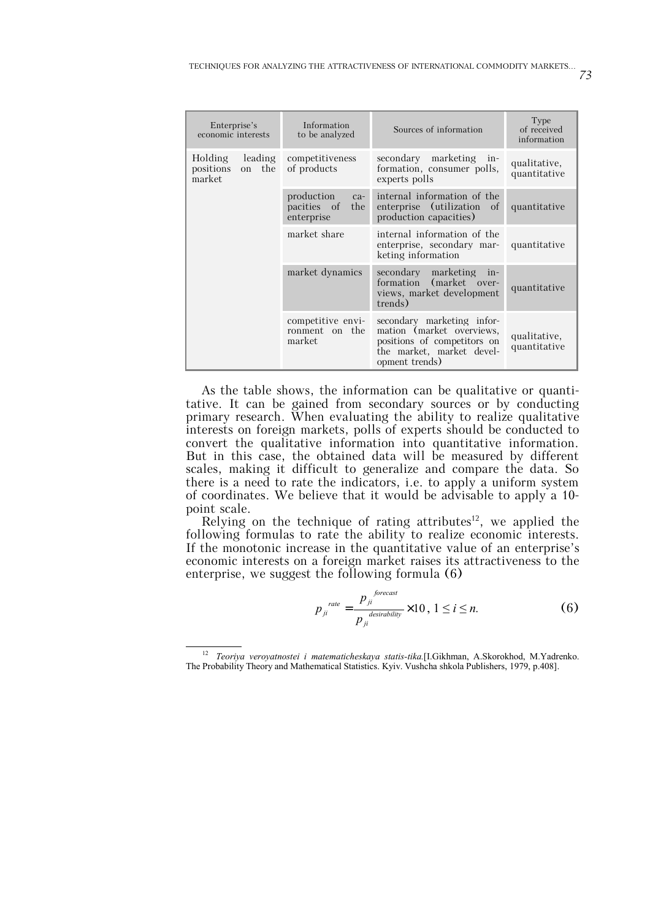| Enterprise's<br>economic interests                  | Information<br>to be analyzed                           | Sources of information                                                                                                                | Type<br>of received<br>information |
|-----------------------------------------------------|---------------------------------------------------------|---------------------------------------------------------------------------------------------------------------------------------------|------------------------------------|
| leading<br>Holding<br>on the<br>positions<br>market | competitiveness<br>of products                          | secondary marketing in-<br>formation, consumer polls,<br>experts polls                                                                | qualitative,<br>quantitative       |
|                                                     | production<br>$ca-$<br>pacities of<br>the<br>enterprise | internal information of the<br>enterprise (utilization of<br>production capacities)                                                   | quantitative                       |
|                                                     | market share                                            | internal information of the<br>enterprise, secondary mar-<br>keting information                                                       | quantitative                       |
|                                                     | market dynamics                                         | secondary marketing in-<br>(market over-<br>formation<br>views, market development<br>trends)                                         | quantitative                       |
|                                                     | competitive envi-<br>ronment on the<br>market           | secondary marketing infor-<br>mation (market overviews,<br>positions of competitors on<br>the market, market devel-<br>opment trends) | qualitative,<br>quantitative       |

As the table shows, the information can be qualitative or quantitative. It can be gained from secondary sources or by conducting primary research. When evaluating the ability to realize qualitative interests on foreign markets, polls of experts should be conducted to convert the qualitative information into quantitative information. But in this case, the obtained data will be measured by different scales, making it difficult to generalize and compare the data. So there is a need to rate the indicators, i.e. to apply a uniform system of coordinates. We believe that it would be advisable to apply a 10 point scale.

Relying on the technique of rating attributes<sup>12</sup>, we applied the following formulas to rate the ability to realize economic interests. If the monotonic increase in the quantitative value of an enterprise's economic interests on a foreign market raises its attractiveness to the enterprise, we suggest the following formula (6)

$$
p_{ji}^{rate} = \frac{p_{ji}^{forecast}}{p_{ji}^{desirability}} \times 10, 1 \le i \le n.
$$
 (6)

73

 <sup>12</sup> *Teoriya veroyatnostei i matematicheskaya statis-tika.*[I.Gikhman, A.Skorokhod, M.Yadrenko. The Probability Theory and Mathematical Statistics. Kyiv. Vushcha shkola Publishers, 1979, p.408].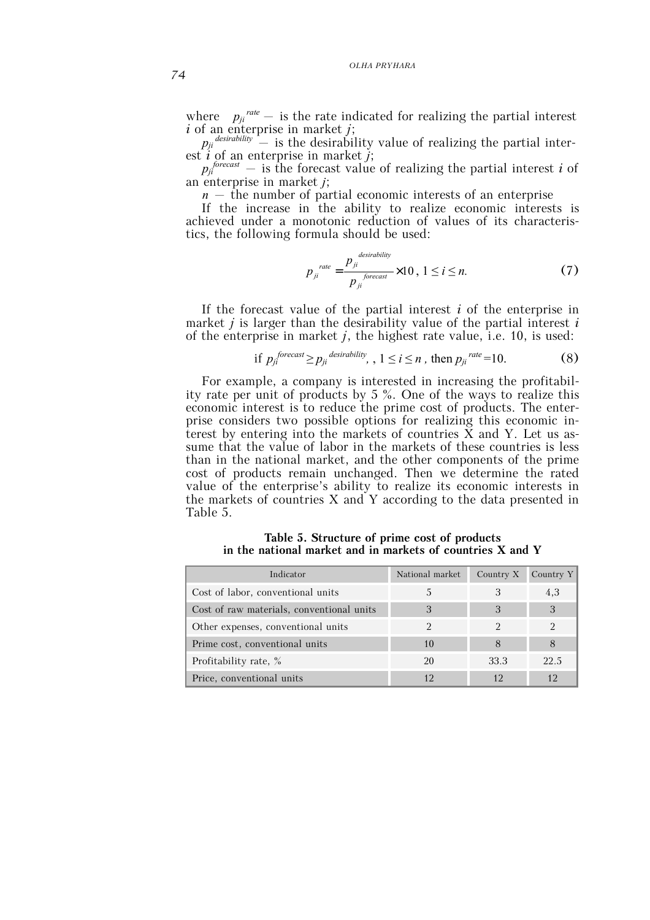*OLHA PRYHARA*

where  $p_{ji}^{rate}$  – is the rate indicated for realizing the partial interest *і* of an enterprise in market *j*;

 $p_{ji}^{\textit{desirability}}$  – is the desirability value of realizing the partial interest *і* of an enterprise in market *j*;

 $p_{ji}^{forecast}$  – is the forecast value of realizing the partial interest *i* of an enterprise in market *j*;

*n –* the number of partial economic interests of an enterprise

If the increase in the ability to realize economic interests is achieved under a monotonic reduction of values of its characteristics, the following formula should be used:

$$
p_{ji}^{rate} = \frac{p_{ji}^{desirability}}{p_{ji}^{forecast}} \times 10, 1 \le i \le n.
$$
 (7)

If the forecast value of the partial interest *і* of the enterprise in market *j* is larger than the desirability value of the partial interest *і* of the enterprise in market *j*, the highest rate value, i.e. 10, is used:

if 
$$
p_{ji}^{forecast} \geq p_{ji}^{desirability}
$$
,  $1 \leq i \leq n$ , then  $p_{ji}^{rate} = 10$ . (8)

For example, a company is interested in increasing the profitability rate per unit of products by 5 %. One of the ways to realize this economic interest is to reduce the prime cost of products. The enterprise considers two possible options for realizing this economic interest by entering into the markets of countries X and Y. Let us assume that the value of labor in the markets of these countries is less than in the national market, and the other components of the prime cost of products remain unchanged. Then we determine the rated value of the enterprise's ability to realize its economic interests in the markets of countries X and Y according to the data presented in Table 5.

**Table 5. Structure of prime cost of products in the national market and in markets of countries X and Y**

| Indicator                                 | National market | Country X | Country $Y$ |
|-------------------------------------------|-----------------|-----------|-------------|
| Cost of labor, conventional units         |                 |           | 4.3         |
| Cost of raw materials, conventional units | 3               |           | 3           |
| Other expenses, conventional units        |                 |           |             |
| Prime cost, conventional units            | 10              |           |             |
| Profitability rate, %                     | 20              | 33.3      | 22.5        |
| Price, conventional units                 |                 |           | 12          |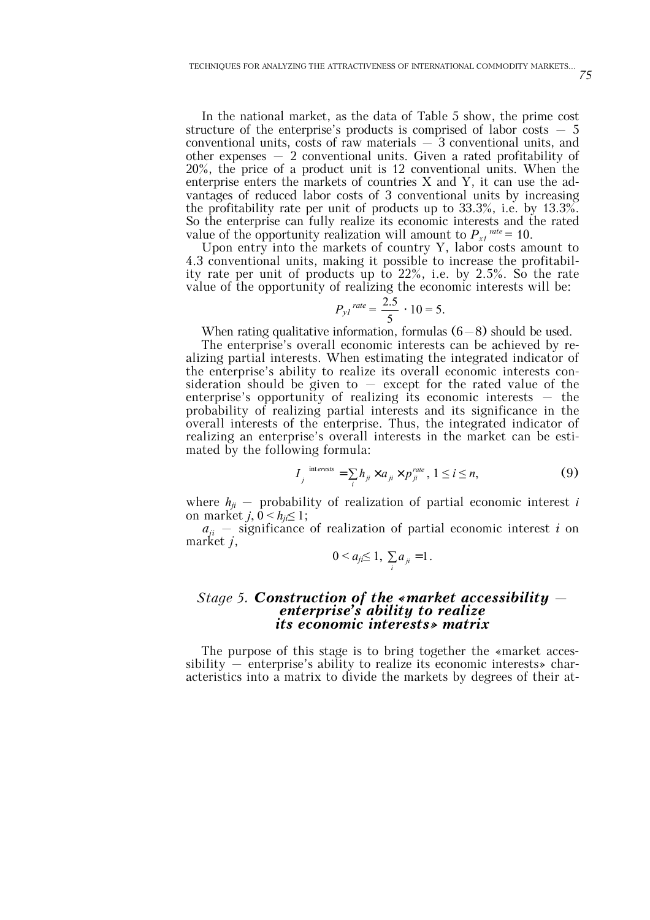In the national market, as the data of Table 5 show, the prime cost structure of the enterprise's products is comprised of labor costs  $-5$ conventional units, costs of raw materials  $-3$  conventional units, and other expenses  $-2$  conventional units. Given a rated profitability of 20%, the price of a product unit is 12 conventional units. When the enterprise enters the markets of countries X and Y, it can use the advantages of reduced labor costs of 3 conventional units by increasing the profitability rate per unit of products up to 33.3%, i.e. by 13.3%. So the enterprise can fully realize its economic interests and the rated value of the opportunity realization will amount to  $P_{xt}^{rate} = 10$ .

Upon entry into the markets of country Y, labor costs amount to 4.3 conventional units, making it possible to increase the profitability rate per unit of products up to 22%, i.e. by 2.5%. So the rate value of the opportunity of realizing the economic interests will be:

$$
P_{yl}^{\text{rate}} = \frac{2.5}{5} \cdot 10 = 5.
$$

When rating qualitative information, formulas  $(6-8)$  should be used.

The enterprise's overall economic interests can be achieved by realizing partial interests. When estimating the integrated indicator of the enterprise's ability to realize its overall economic interests consideration should be given to  $-$  except for the rated value of the enterprise's opportunity of realizing its economic interests  $-$  the probability of realizing partial interests and its significance in the overall interests of the enterprise. Thus, the integrated indicator of realizing an enterprise's overall interests in the market can be estimated by the following formula:

$$
I_j^{\text{interests}} = \sum_i h_{ji} \times a_{ji} \times p_{ji}^{\text{rate}}, 1 \le i \le n,
$$
 (9)

where  $h_{ji}$  – probability of realization of partial economic interest *i* on market  $j, 0 \leq h_{ii} \leq 1$ ;

 $a_{ii}$  – significance of realization of partial economic interest *i* on market *j*,

$$
0 < a_{ji} \leq 1, \ \sum_i a_{ji} = 1.
$$

### *Stage 5. Construction of the «market accessibility – enterprise's ability to realize its economic interests» matrix*

The purpose of this stage is to bring together the «market accessibility – enterprise's ability to realize its economic interests» characteristics into a matrix to divide the markets by degrees of their at-

75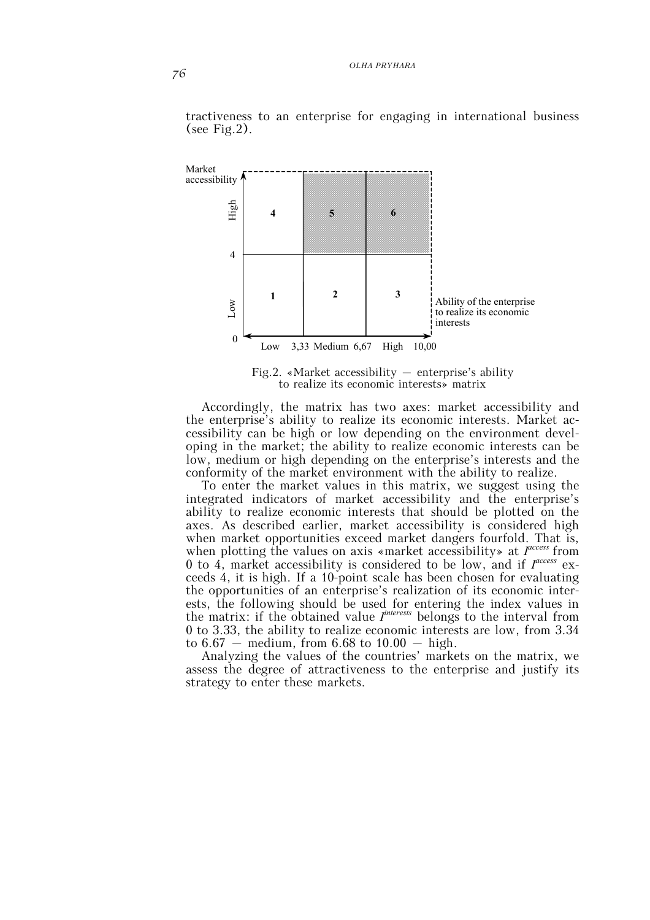

tractiveness to an enterprise for engaging in international business (see Fig.2).

Fig.2. «Market accessibility  $-$  enterprise's ability to realize its economic interests» matrix

Accordingly, the matrix has two axes: market accessibility and the enterprise's ability to realize its economic interests. Market accessibility can be high or low depending on the environment developing in the market; the ability to realize economic interests can be low, medium or high depending on the enterprise's interests and the conformity of the market environment with the ability to realize.

To enter the market values in this matrix, we suggest using the integrated indicators of market accessibility and the enterprise's ability to realize economic interests that should be plotted on the axes. As described earlier, market accessibility is considered high when market opportunities exceed market dangers fourfold. That is, when plotting the values on axis «market accessibility» at *Incress* from 0 to 4, market accessibility is considered to be low, and if *І access* exceeds 4, it is high. If a 10-point scale has been chosen for evaluating the opportunities of an enterprise's realization of its economic interests, the following should be used for entering the index values in the matrix: if the obtained value *І interests* belongs to the interval from 0 to 3.33, the ability to realize economic interests are low, from 3.34 to  $6.67$  – medium, from  $6.68$  to  $10.00$  – high.

Analyzing the values of the countries' markets on the matrix, we assess the degree of attractiveness to the enterprise and justify its strategy to enter these markets.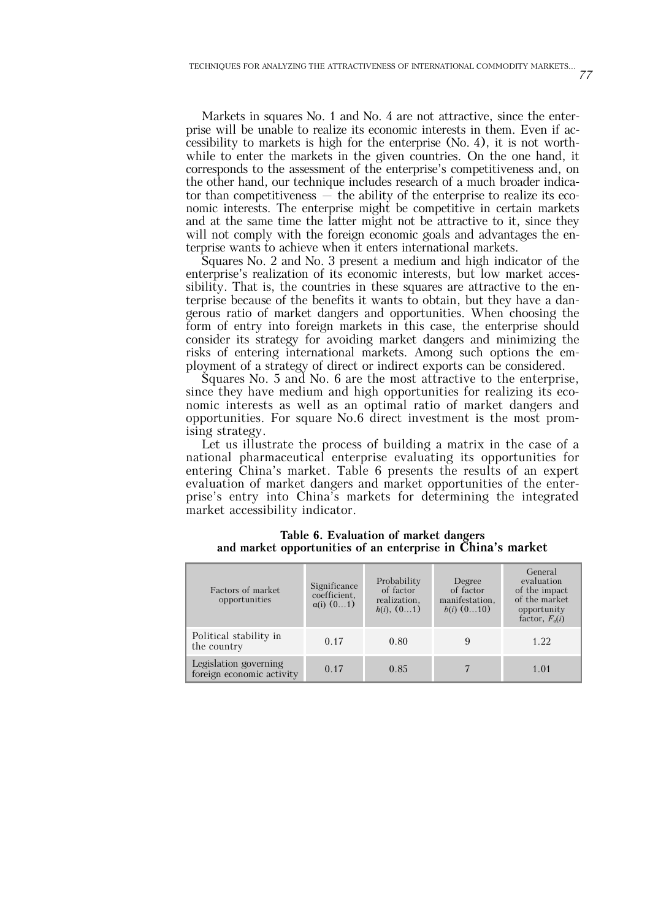Markets in squares No. 1 and No. 4 are not attractive, since the enterprise will be unable to realize its economic interests in them. Even if accessibility to markets is high for the enterprise (No. 4), it is not worthwhile to enter the markets in the given countries. On the one hand, it corresponds to the assessment of the enterprise's competitiveness and, on the other hand, our technique includes research of a much broader indicator than competitiveness  $-$  the ability of the enterprise to realize its economic interests. The enterprise might be competitive in certain markets and at the same time the latter might not be attractive to it, since they will not comply with the foreign economic goals and advantages the enterprise wants to achieve when it enters international markets.

Squares No. 2 and No. 3 present a medium and high indicator of the enterprise's realization of its economic interests, but low market accessibility. That is, the countries in these squares are attractive to the enterprise because of the benefits it wants to obtain, but they have a dangerous ratio of market dangers and opportunities. When choosing the form of entry into foreign markets in this case, the enterprise should consider its strategy for avoiding market dangers and minimizing the risks of entering international markets. Among such options the employment of a strategy of direct or indirect exports can be considered.

Squares No. 5 and No. 6 are the most attractive to the enterprise, since they have medium and high opportunities for realizing its economic interests as well as an optimal ratio of market dangers and opportunities. For square No.6 direct investment is the most promising strategy.

Let us illustrate the process of building a matrix in the case of a national pharmaceutical enterprise evaluating its opportunities for entering China's market. Table 6 presents the results of an expert evaluation of market dangers and market opportunities of the enterprise's entry into China's markets for determining the integrated market accessibility indicator.

| Factors of market<br>opportunities                 | Significance<br>coefficient,<br>$\alpha(i)$ $(01)$ | Probability<br>of factor<br>realization,<br>h(i), (01) | Degree<br>of factor<br>manifestation,<br>$b(i)$ $(010)$ | General<br>evaluation<br>of the impact<br>of the market<br>opportunity<br>factor, $F_0(i)$ |
|----------------------------------------------------|----------------------------------------------------|--------------------------------------------------------|---------------------------------------------------------|--------------------------------------------------------------------------------------------|
| Political stability in<br>the country              | 0.17                                               | 0.80                                                   |                                                         | 1.22                                                                                       |
| Legislation governing<br>foreign economic activity | 0.17                                               | 0.85                                                   |                                                         | 1.01                                                                                       |

**Table 6. Evaluation of market dangers and market opportunities of an enterprise in China's market**

77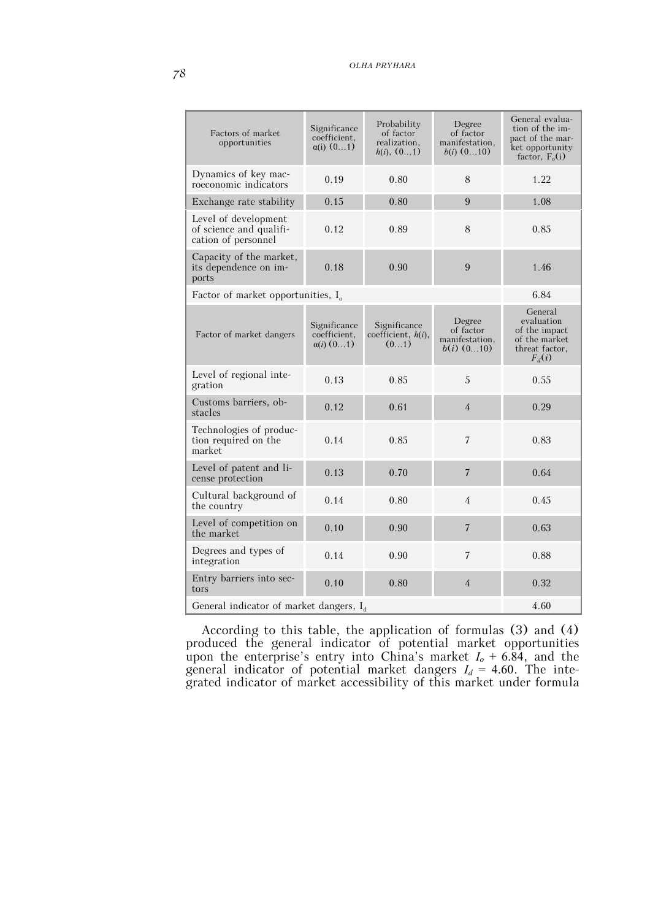| Factors of market<br>opportunities                                     | Significance<br>coefficient.<br>$\alpha(i)$ (01) | Probability<br>of factor<br>realization.<br>h(i), (01) | Degree<br>of factor<br>manifestation,<br>$b(i)$ $(010)$ | General evalua-<br>tion of the im-<br>pact of the mar-<br>ket opportunity<br>factor, $F_o(i)$ |
|------------------------------------------------------------------------|--------------------------------------------------|--------------------------------------------------------|---------------------------------------------------------|-----------------------------------------------------------------------------------------------|
| Dynamics of key mac-<br>roeconomic indicators                          | 0.19                                             | 0.80                                                   | 8                                                       | 1.22.                                                                                         |
| Exchange rate stability                                                | 0.15                                             | 0.80                                                   | 9                                                       | 1.08                                                                                          |
| Level of development<br>of science and qualifi-<br>cation of personnel | 0.12                                             | 0.89                                                   | 8                                                       | 0.85                                                                                          |
| Capacity of the market,<br>its dependence on im-<br>ports              | 0.18                                             | 0.90                                                   | 9                                                       | 1.46                                                                                          |
| Factor of market opportunities, $I_0$                                  |                                                  |                                                        |                                                         | 6.84                                                                                          |
| Factor of market dangers                                               | Significance<br>coefficient.<br>$\alpha(i)$ (01) | Significance<br>coefficient, $h(i)$ ,<br>(01)          | Degree<br>of factor<br>manifestation,<br>$b(i)$ (010)   | General<br>evaluation<br>of the impact<br>of the market<br>threat factor,<br>$F_d(i)$         |
| Level of regional inte-<br>gration                                     | 0.13                                             | 0.85                                                   | 5                                                       | 0.55                                                                                          |
| Customs barriers, ob-<br>stacles                                       | 0.12                                             | 0.61                                                   | $\overline{4}$                                          | 0.29                                                                                          |
| Technologies of produc-<br>tion required on the<br>market              | 0.14                                             | 0.85                                                   | $\overline{7}$                                          | 0.83                                                                                          |
| Level of patent and li-<br>cense protection                            | 0.13                                             | 0.70                                                   | $\overline{7}$                                          | 0.64                                                                                          |
| Cultural background of<br>the country                                  | 0.14                                             | 0.80                                                   | $\overline{4}$                                          | 0.45                                                                                          |
| Level of competition on<br>the market                                  | 0.10                                             | 0.90                                                   | $\overline{7}$                                          | 0.63                                                                                          |
| Degrees and types of<br>integration                                    | 0.14                                             | 0.90                                                   | $\overline{7}$                                          | 0.88                                                                                          |
| Entry barriers into sec-<br>tors                                       | 0.10                                             | 0.80                                                   | $\overline{4}$                                          | 0.32                                                                                          |
| General indicator of market dangers, I <sub>d</sub>                    | 4.60                                             |                                                        |                                                         |                                                                                               |

According to this table, the application of formulas (3) and (4) produced the general indicator of potential market opportunities upon the enterprise's entry into China's market *Іo* + 6.84, and the general indicator of potential market dangers  $I_d = 4.60$ . The integrated indicator of market accessibility of this market under formula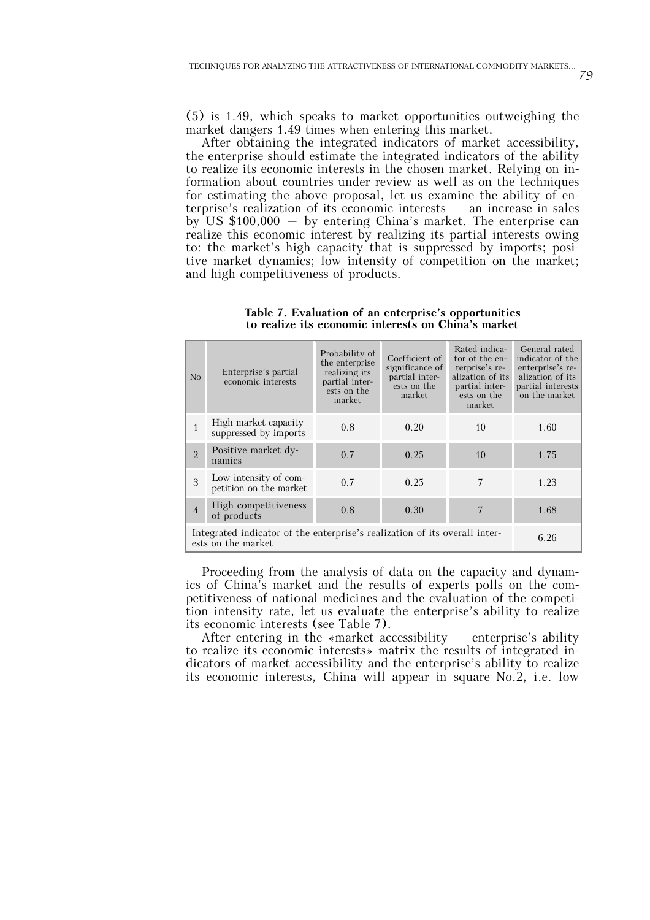(5) is 1.49, which speaks to market opportunities outweighing the market dangers 1.49 times when entering this market.

After obtaining the integrated indicators of market accessibility, the enterprise should estimate the integrated indicators of the ability to realize its economic interests in the chosen market. Relying on information about countries under review as well as on the techniques for estimating the above proposal, let us examine the ability of enterprise's realization of its economic interests – an increase in sales by US  $$100,000 - by entering China's market. The enterprise can$ realize this economic interest by realizing its partial interests owing to: the market's high capacity that is suppressed by imports; positive market dynamics; low intensity of competition on the market; and high competitiveness of products.

| No             | Enterprise's partial<br>economic interests                                                               | Probability of<br>the enterprise<br>realizing its<br>partial inter-<br>ests on the<br>market | Coefficient of<br>significance of<br>partial inter-<br>ests on the<br>market | Rated indica-<br>tor of the en-<br>terprise's re-<br>alization of its<br>partial inter-<br>ests on the<br>market | General rated<br>indicator of the<br>enterprise's re-<br>alization of its<br>partial interests<br>on the market |  |
|----------------|----------------------------------------------------------------------------------------------------------|----------------------------------------------------------------------------------------------|------------------------------------------------------------------------------|------------------------------------------------------------------------------------------------------------------|-----------------------------------------------------------------------------------------------------------------|--|
| 1              | High market capacity<br>suppressed by imports                                                            | 0.8                                                                                          | 0.20                                                                         | 10                                                                                                               | 1.60                                                                                                            |  |
| $\overline{2}$ | Positive market dy-<br>namics                                                                            | 0.7                                                                                          | 0.25                                                                         | 10                                                                                                               | 1.75                                                                                                            |  |
| 3              | Low intensity of com-<br>petition on the market                                                          | 0.7                                                                                          | 0.25                                                                         | 7                                                                                                                | 1.23                                                                                                            |  |
| $\overline{4}$ | High competitiveness<br>of products                                                                      | 0.8                                                                                          | 0.30                                                                         |                                                                                                                  | 1.68                                                                                                            |  |
|                | Integrated indicator of the enterprise's realization of its overall inter-<br>6.26<br>ests on the market |                                                                                              |                                                                              |                                                                                                                  |                                                                                                                 |  |

**Table 7. Evaluation of an enterprise's opportunities to realize its economic interests on China's market**

Proceeding from the analysis of data on the capacity and dynamics of China's market and the results of experts polls on the competitiveness of national medicines and the evaluation of the competition intensity rate, let us evaluate the enterprise's ability to realize its economic interests (see Table 7).

After entering in the «market accessibility  $-$  enterprise's ability to realize its economic interests» matrix the results of integrated indicators of market accessibility and the enterprise's ability to realize its economic interests, China will appear in square No.2, i.e. low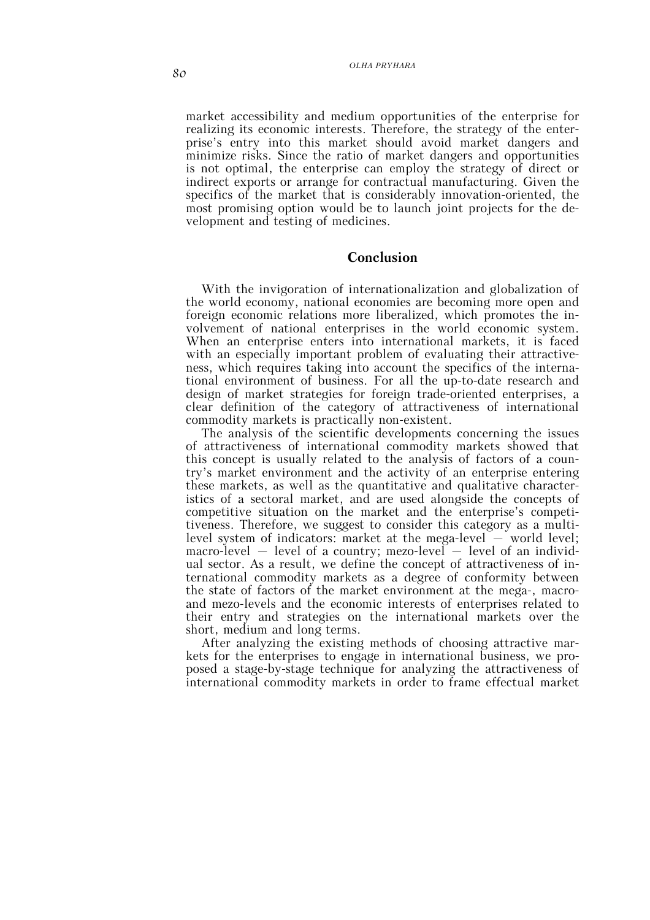market accessibility and medium opportunities of the enterprise for realizing its economic interests. Therefore, the strategy of the enterprise's entry into this market should avoid market dangers and minimize risks. Since the ratio of market dangers and opportunities is not optimal, the enterprise can employ the strategy of direct or indirect exports or arrange for contractual manufacturing. Given the specifics of the market that is considerably innovation-oriented, the most promising option would be to launch joint projects for the development and testing of medicines.

### **Conclusion**

With the invigoration of internationalization and globalization of the world economy, national economies are becoming more open and foreign economic relations more liberalized, which promotes the involvement of national enterprises in the world economic system. When an enterprise enters into international markets, it is faced with an especially important problem of evaluating their attractiveness, which requires taking into account the specifics of the international environment of business. For all the up-to-date research and design of market strategies for foreign trade-oriented enterprises, a clear definition of the category of attractiveness of international commodity markets is practically non-existent.

The analysis of the scientific developments concerning the issues of attractiveness of international commodity markets showed that this concept is usually related to the analysis of factors of a country's market environment and the activity of an enterprise entering these markets, as well as the quantitative and qualitative characteristics of a sectoral market, and are used alongside the concepts of competitive situation on the market and the enterprise's competitiveness. Therefore, we suggest to consider this category as a multilevel system of indicators: market at the mega-level  $-$  world level; macro-level – level of a country; mezo-level – level of an individual sector. As a result, we define the concept of attractiveness of international commodity markets as a degree of conformity between the state of factors of the market environment at the mega-, macroand mezo-levels and the economic interests of enterprises related to their entry and strategies on the international markets over the short, medium and long terms.

After analyzing the existing methods of choosing attractive markets for the enterprises to engage in international business, we proposed a stage-by-stage technique for analyzing the attractiveness of international commodity markets in order to frame effectual market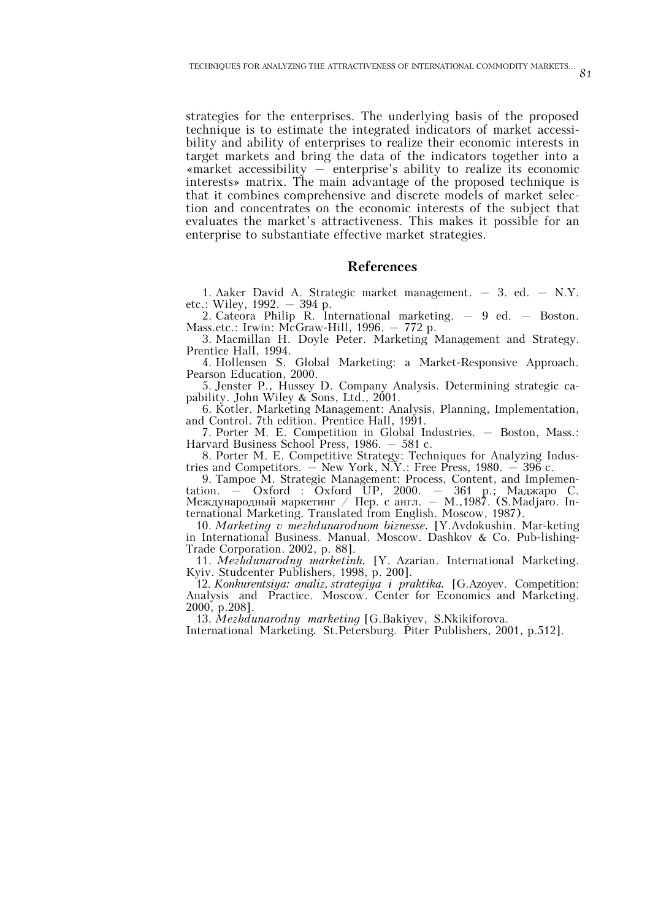strategies for the enterprises. The underlying basis of the proposed technique is to estimate the integrated indicators of market accessibility and ability of enterprises to realize their economic interests in target markets and bring the data of the indicators together into a  $\kappa$  and  $\kappa$  accessibility – enterprise's ability to realize its economic interests» matrix. The main advantage of the proposed technique is that it combines comprehensive and discrete models of market selection and concentrates on the economic interests of the subject that evaluates the market's attractiveness. This makes it possible for an enterprise to substantiate effective market strategies.

### **References**

1. Aaker David A. Strategic market management. – 3. ed. – N.Y. etc.: Wiley, 1992. – 394 p.

2. Cateora Philip R. International marketing. – 9 ed. – Boston. Mass.etc.: Irwin: McGraw-Hill, 1996. - 772 p.

3. Macmillan H. Doyle Peter. Marketing Management and Strategy. Prentice Hall, 1994.

4. Hollensen S. Global Marketing: a Market-Responsive Approach. Pearson Education, 2000.

5. Jenster P., Hussey D. Сompany Analysis. Determining strategic capability. John Wiley & Sons, Ltd., 2001.

6. Kotler. Marketing Management: Analysis, Planning, Implementation, and Control. 7th edition. Prentice Hall, 1991.

7. Porter M. E. Competition in Global Industries. – Boston, Mass.: Harvard Business School Press, 1986. – 581 с.

8. Porter M. E. Competitive Strategy: Techniques for Analyzing Industries and Competitors. – New York, N.Y.: Free Press, 1980. – 396 с.

9. Tampoe M. Strategic Management: Process, Content, and Implementation. – Oxford : Oxford UP, 2000. – 361 p.; Маджаро С. Международный маркетинг / Пер. с англ. – М.,1987. (S.Madjaro. International Marketing. Translated from English. Moscow, 1987).

10. *Marketing v mezhdunarodnom biznesse.* [Y.Avdokushin. Mar-keting in International Business. Manual. Moscow. Dashkov & Co. Pub-lishing-Trade Corporation. 2002, p. 88].

11. *Mezhdunarodny marketinh.* [Y. Azarian. International Marketing. Kyiv. Studcenter Publishers, 1998, p. 200].

12. *Konkurentsiya: analiz,strategiya i praktika.* [G.Azoyev. Competition: Analysis and Practice. Moscow. Center for Economics and Marketing. 2000, p.208].

13. *Mezhdunarodny marketing* [G.Bakiyev, S.Nkikiforova.

International Marketing. St.Petersburg. Piter Publishers, 2001, p.512].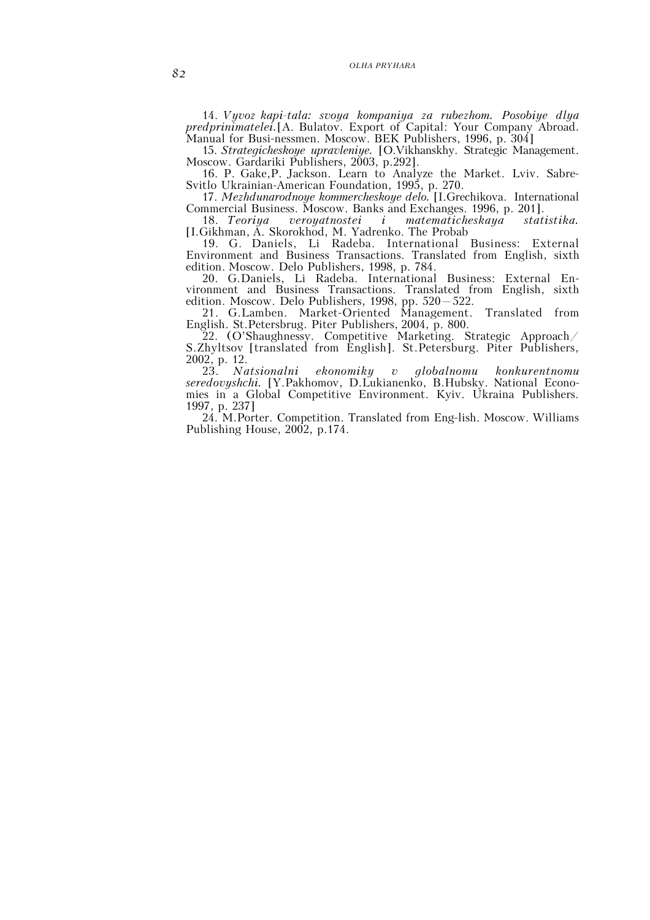### *OLHA PRYHARA*

14. *Vyvoz kapi-tala: svoya kompaniya za rubezhom. Posobiye dlya predprinimatelei.*[A. Bulatov. Export of Capital: Your Company Abroad. Manual for Busi-nessmen. Moscow. BEK Publishers, 1996, p. 304]

15. *Strategicheskoye upravleniye.* [O.Vikhanskhy. Strategic Management. Moscow. Gardariki Publishers, 2003, p.292].

16. P. Gake,P. Jackson. Learn to Analyze the Market. Lviv. Sabre-Svitlo Ukrainian-American Foundation, 1995, p. 270.

17. *Mezhdunarodnoye kommercheskoye delo.* [I.Grechikova. International Commercial Business. Moscow. Banks and Exchanges. 1996, p. 201].<br>18. Teoriya veroyatnostei i matematicheskaya statistika.

18. *Teoriya veroyatnostei i matematicheskaya statistika.* [I.Gikhman, A. Skorokhod, M. Yadrenko. The Probab

19. G. Daniels, Li Radeba. International Business: External Environment and Business Transactions. Translated from English, sixth edition. Moscow. Delo Publishers, 1998, p. 784.

20. G.Daniels, Li Radeba. International Business: External Environment and Business Transactions. Translated from English, sixth edition. Moscow. Delo Publishers, 1998, pp. 520–522.

21. G.Lamben. Market-Oriented Management. Translated from English. St.Petersbrug. Piter Publishers, 2004, p. 800.

22. (O'Shaughnessy. Competitive Marketing. Strategic Approach/ S.Zhyltsov [translated from English]. St.Petersburg. Piter Publishers, 2002, p. 12.

23. *Natsionalni ekonomiky v globalnomu konkurentnomu seredovyshchi.* [Y.Pakhomov, D.Lukianenko, B.Hubsky. National Economies in a Global Competitive Environment. Kyiv. Ukraina Publishers. 1997, p. 237]

24. M.Porter. Competition. Translated from Eng-lish. Moscow. Williams Publishing House, 2002, p.174.